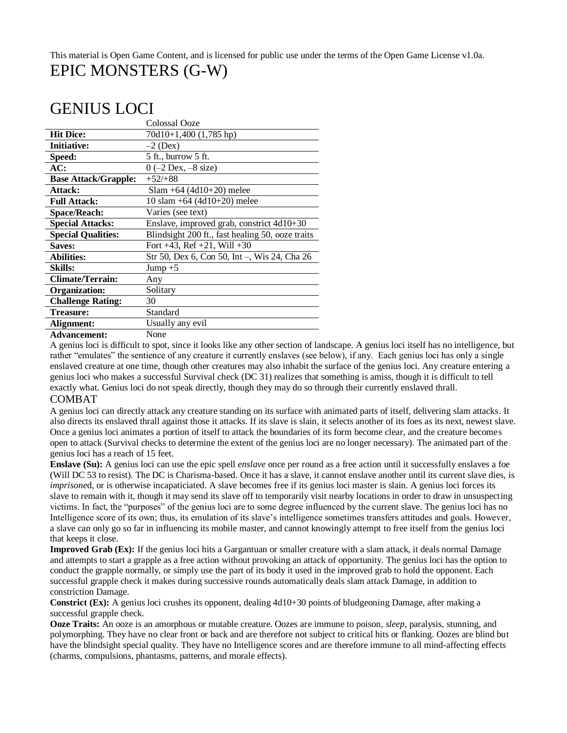### This material is Open Game Content, and is licensed for public use under the terms of the Open Game License v1.0a. EPIC MONSTERS (G-W)

# GENIUS LOCI

|                             | Colossal Ooze                                    |
|-----------------------------|--------------------------------------------------|
| <b>Hit Dice:</b>            | 70d10+1,400 (1,785 hp)                           |
| <b>Initiative:</b>          | $-2$ (Dex)                                       |
| Speed:                      | 5 ft., burrow 5 ft.                              |
| AC:                         | $0$ (-2 Dex, -8 size)                            |
| <b>Base Attack/Grapple:</b> | $+52/+88$                                        |
| Attack:                     | $Slam + 64 (4d10 + 20)$ melee                    |
| <b>Full Attack:</b>         | 10 slam $+64$ (4d10+20) melee                    |
| <b>Space/Reach:</b>         | Varies (see text)                                |
| <b>Special Attacks:</b>     | Enslave, improved grab, constrict 4d10+30        |
| <b>Special Qualities:</b>   | Blindsight 200 ft., fast healing 50, ooze traits |
| <b>Saves:</b>               | Fort $+43$ , Ref $+21$ , Will $+30$              |
| <b>Abilities:</b>           | Str 50, Dex 6, Con 50, Int -, Wis 24, Cha 26     |
| <b>Skills:</b>              | Jump $+5$                                        |
| <b>Climate/Terrain:</b>     | Any                                              |
| Organization:               | Solitary                                         |
| <b>Challenge Rating:</b>    | 30                                               |
| <b>Treasure:</b>            | Standard                                         |
| Alignment:                  | Usually any evil                                 |
|                             | $\mathbf{v}$                                     |

**Advancement:** None

A genius loci is difficult to spot, since it looks like any other section of landscape. A genius loci itself has no intelligence, but rather "emulates" the sentience of any creature it currently enslaves (see below), if any. Each genius loci has only a single enslaved creature at one time, though other creatures may also inhabit the surface of the genius loci. Any creature entering a genius loci who makes a successful Survival check (DC 31) realizes that something is amiss, though it is difficult to tell exactly what. Genius loci do not speak directly, though they may do so through their currently enslaved thrall.

### COMBAT

A genius loci can directly attack any creature standing on its surface with animated parts of itself, delivering slam attacks. It also directs its enslaved thrall against those it attacks. If its slave is slain, it selects another of its foes as its next, newest slave. Once a genius loci animates a portion of itself to attack the boundaries of its form become clear, and the creature becomes open to attack (Survival checks to determine the extent of the genius loci are no longer necessary). The animated part of the genius loci has a reach of 15 feet.

**Enslave (Su):** A genius loci can use the epic spell *enslave* once per round as a free action until it successfully enslaves a foe (Will DC 53 to resist). The DC is Charisma-based. Once it has a slave, it cannot enslave another until its current slave dies, is *imprisoned*, or is otherwise incapaticiated. A slave becomes free if its genius loci master is slain. A genius loci forces its slave to remain with it, though it may send its slave off to temporarily visit nearby locations in order to draw in unsuspecting victims. In fact, the "purposes" of the genius loci are to some degree influenced by the current slave. The genius loci has no Intelligence score of its own; thus, its emulation of its slave's intelligence sometimes transfers attitudes and goals. However, a slave can only go so far in influencing its mobile master, and cannot knowingly attempt to free itself from the genius loci that keeps it close.

**Improved Grab (Ex):** If the genius loci hits a Gargantuan or smaller creature with a slam attack, it deals normal Damage and attempts to start a grapple as a free action without provoking an attack of opportunity. The genius loci has the option to conduct the grapple normally, or simply use the part of its body it used in the improved grab to hold the opponent. Each successful grapple check it makes during successive rounds automatically deals slam attack Damage, in addition to constriction Damage.

**Constrict (Ex):** A genius loci crushes its opponent, dealing 4d10+30 points of bludgeoning Damage, after making a successful grapple check.

**Ooze Traits:** An ooze is an amorphous or mutable creature. Oozes are immune to poison, *sleep,* paralysis, stunning, and polymorphing. They have no clear front or back and are therefore not subject to critical hits or flanking. Oozes are blind but have the blindsight special quality. They have no Intelligence scores and are therefore immune to all mind-affecting effects (charms, compulsions, phantasms, patterns, and morale effects).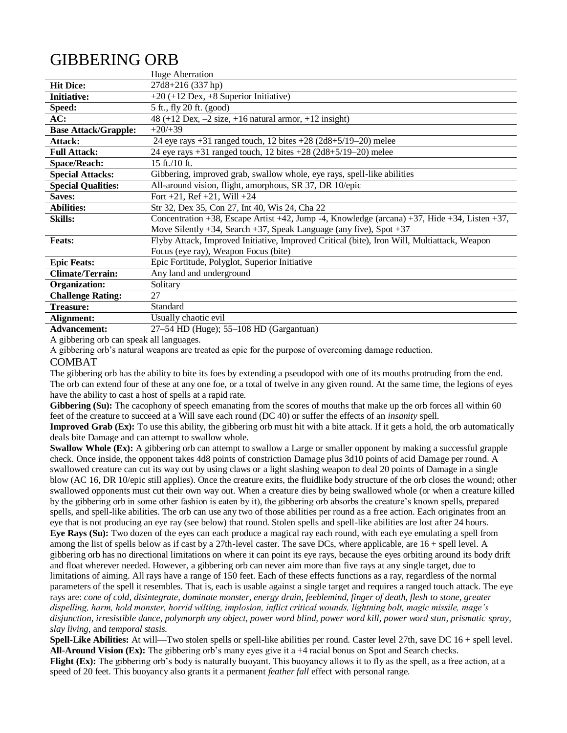# GIBBERING ORB

|                             | Huge Aberration                                                                                 |
|-----------------------------|-------------------------------------------------------------------------------------------------|
| <b>Hit Dice:</b>            | 27d8+216 (337 hp)                                                                               |
| <b>Initiative:</b>          | $+20 (+12$ Dex, $+8$ Superior Initiative)                                                       |
| Speed:                      | 5 ft., fly 20 ft. (good)                                                                        |
| AC:                         | $48 (+12 \text{ Dex}, -2 \text{ size}, +16 \text{ natural} \text{ arrow}, +12 \text{ insight})$ |
| <b>Base Attack/Grapple:</b> | $+20/+39$                                                                                       |
| Attack:                     | 24 eye rays $+31$ ranged touch, 12 bites $+28(2d8+5/19-20)$ melee                               |
| <b>Full Attack:</b>         | 24 eye rays $+31$ ranged touch, 12 bites $+28$ (2d8+5/19-20) melee                              |
| <b>Space/Reach:</b>         | 15 ft./10 ft.                                                                                   |
| <b>Special Attacks:</b>     | Gibbering, improved grab, swallow whole, eye rays, spell-like abilities                         |
| <b>Special Qualities:</b>   | All-around vision, flight, amorphous, SR 37, DR 10/epic                                         |
| Saves:                      | Fort $+21$ , Ref $+21$ , Will $+24$                                                             |
| <b>Abilities:</b>           | Str 32, Dex 35, Con 27, Int 40, Wis 24, Cha 22                                                  |
| <b>Skills:</b>              | Concentration +38, Escape Artist +42, Jump -4, Knowledge (arcana) +37, Hide +34, Listen +37,    |
|                             | Move Silently +34, Search +37, Speak Language (any five), Spot +37                              |
| <b>Feats:</b>               | Flyby Attack, Improved Initiative, Improved Critical (bite), Iron Will, Multiattack, Weapon     |
|                             | Focus (eye ray), Weapon Focus (bite)                                                            |
| <b>Epic Feats:</b>          | Epic Fortitude, Polyglot, Superior Initiative                                                   |
| <b>Climate/Terrain:</b>     | Any land and underground                                                                        |
| Organization:               | Solitary                                                                                        |
| <b>Challenge Rating:</b>    | 27                                                                                              |
| <b>Treasure:</b>            | Standard                                                                                        |
| Alignment:                  | Usually chaotic evil                                                                            |
| <b>Advancement:</b>         | 27–54 HD (Huge); 55–108 HD (Gargantuan)                                                         |

A gibbering orb can speak all languages.

A gibbering orb's natural weapons are treated as epic for the purpose of overcoming damage reduction.

### COMBAT

The gibbering orb has the ability to bite its foes by extending a pseudopod with one of its mouths protruding from the end. The orb can extend four of these at any one foe, or a total of twelve in any given round. At the same time, the legions of eyes have the ability to cast a host of spells at a rapid rate.

Gibbering (Su): The cacophony of speech emanating from the scores of mouths that make up the orb forces all within 60 feet of the creature to succeed at a Will save each round (DC 40) or suffer the effects of an *insanity* spell.

**Improved Grab (Ex):** To use this ability, the gibbering orb must hit with a bite attack. If it gets a hold, the orb automatically deals bite Damage and can attempt to swallow whole.

**Swallow Whole (Ex):** A gibbering orb can attempt to swallow a Large or smaller opponent by making a successful grapple check. Once inside, the opponent takes 4d8 points of constriction Damage plus 3d10 points of acid Damage per round. A swallowed creature can cut its way out by using claws or a light slashing weapon to deal 20 points of Damage in a single blow (AC 16, DR 10/epic still applies). Once the creature exits, the fluidlike body structure of the orb closes the wound; other swallowed opponents must cut their own way out. When a creature dies by being swallowed whole (or when a creature killed by the gibbering orb in some other fashion is eaten by it), the gibbering orb absorbs the creature's known spells, prepared spells, and spell-like abilities. The orb can use any two of those abilities per round as a free action. Each originates from an eye that is not producing an eye ray (see below) that round. Stolen spells and spell-like abilities are lost after 24 hours. **Eye Rays (Su):** Two dozen of the eyes can each produce a magical ray each round, with each eye emulating a spell from among the list of spells below as if cast by a 27th-level caster. The save DCs, where applicable, are 16 + spell level. A gibbering orb has no directional limitations on where it can point its eye rays, because the eyes orbiting around its body drift and float wherever needed. However, a gibbering orb can never aim more than five rays at any single target, due to limitations of aiming. All rays have a range of 150 feet. Each of these effects functions as a ray, regardless of the normal parameters of the spell it resembles. That is, each is usable against a single target and requires a ranged touch attack. The eye rays are: *cone of cold, disintegrate, dominate monster, energy drain, feeblemind, finger of death, flesh to stone, greater dispelling, harm, hold monster, horrid wilting, implosion, inflict critical wounds, lightning bolt, magic missile, mage's disjunction, irresistible dance, polymorph any object, power word blind, power word kill, power word stun, prismatic spray, slay living,* and *temporal stasis.* 

**Spell-Like Abilities:** At will—Two stolen spells or spell-like abilities per round. Caster level 27th, save DC 16 + spell level. **All-Around Vision (Ex):** The gibbering orb's many eyes give it a +4 racial bonus on Spot and Search checks.

**Flight (Ex):** The gibbering orb's body is naturally buoyant. This buoyancy allows it to fly as the spell, as a free action, at a speed of 20 feet. This buoyancy also grants it a permanent *feather fall* effect with personal range.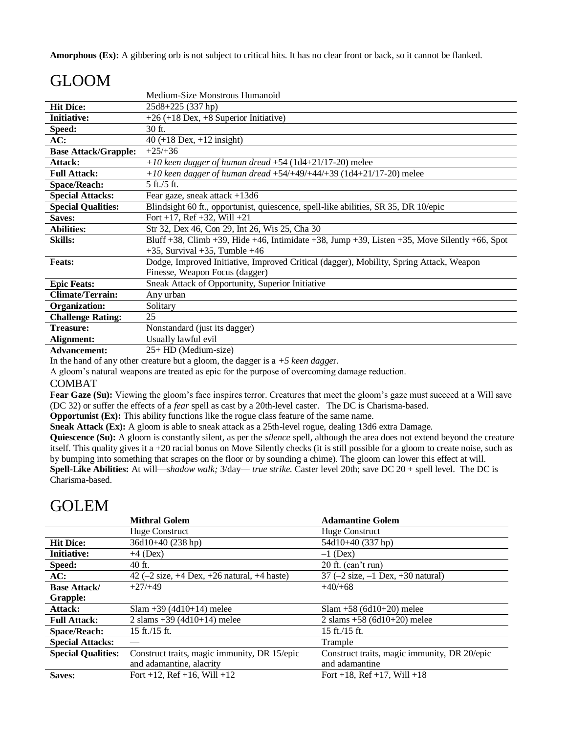**Amorphous (Ex):** A gibbering orb is not subject to critical hits. It has no clear front or back, so it cannot be flanked.

# GLOOM

|                             | Medium-Size Monstrous Humanoid                                                                |
|-----------------------------|-----------------------------------------------------------------------------------------------|
| <b>Hit Dice:</b>            | 25d8+225 (337 hp)                                                                             |
| <b>Initiative:</b>          | $+26 (+18$ Dex, $+8$ Superior Initiative)                                                     |
| Speed:                      | 30 ft.                                                                                        |
| AC:                         | $40 (+18$ Dex, $+12$ insight)                                                                 |
| <b>Base Attack/Grapple:</b> | $+25/+36$                                                                                     |
| Attack:                     | +10 keen dagger of human dread +54 (1d4+21/17-20) melee                                       |
| <b>Full Attack:</b>         | $+10$ keen dagger of human dread $+54/+49/+44/+39$ (1d4+21/17-20) melee                       |
| <b>Space/Reach:</b>         | $5 \text{ ft}$ ./5 ft.                                                                        |
| <b>Special Attacks:</b>     | Fear gaze, sneak attack $+13d6$                                                               |
| <b>Special Qualities:</b>   | Blindsight 60 ft., opportunist, quiescence, spell-like abilities, SR 35, DR 10/epic           |
| <b>Saves:</b>               | Fort +17, Ref +32, Will +21                                                                   |
| <b>Abilities:</b>           | Str 32, Dex 46, Con 29, Int 26, Wis 25, Cha 30                                                |
| <b>Skills:</b>              | Bluff +38, Climb +39, Hide +46, Intimidate +38, Jump +39, Listen +35, Move Silently +66, Spot |
|                             | $+35$ , Survival $+35$ , Tumble $+46$                                                         |
| <b>Feats:</b>               | Dodge, Improved Initiative, Improved Critical (dagger), Mobility, Spring Attack, Weapon       |
|                             | Finesse, Weapon Focus (dagger)                                                                |
| <b>Epic Feats:</b>          | Sneak Attack of Opportunity, Superior Initiative                                              |
| <b>Climate/Terrain:</b>     | Any urban                                                                                     |
| Organization:               | Solitary                                                                                      |
| <b>Challenge Rating:</b>    | 25                                                                                            |
| <b>Treasure:</b>            | Nonstandard (just its dagger)                                                                 |
| Alignment:                  | Usually lawful evil                                                                           |
| Advancement:                | 25+ HD (Medium-size)                                                                          |

In the hand of any other creature but a gloom, the dagger is a *+5 keen dagge*r.

A gloom's natural weapons are treated as epic for the purpose of overcoming damage reduction.

### COMBAT

Fear Gaze (Su): Viewing the gloom's face inspires terror. Creatures that meet the gloom's gaze must succeed at a Will save (DC 32) or suffer the effects of a *fear* spell as cast by a 20th-level caster. The DC is Charisma-based.

**Opportunist (Ex):** This ability functions like the rogue class feature of the same name.

**Sneak Attack (Ex):** A gloom is able to sneak attack as a 25th-level rogue, dealing 13d6 extra Damage.

**Quiescence (Su):** A gloom is constantly silent, as per the *silence* spell, although the area does not extend beyond the creature itself. This quality gives it a +20 racial bonus on Move Silently checks (it is still possible for a gloom to create noise, such as by bumping into something that scrapes on the floor or by sounding a chime). The gloom can lower this effect at will. **Spell-Like Abilities:** At will—*shadow walk;* 3/day— *true strike.* Caster level 20th; save DC 20 + spell level. The DC is Charisma-based.

### GOLEM

|                           | <b>Mithral Golem</b>                                                          | <b>Adamantine Golem</b>                                     |
|---------------------------|-------------------------------------------------------------------------------|-------------------------------------------------------------|
|                           | Huge Construct                                                                | Huge Construct                                              |
| <b>Hit Dice:</b>          | $36d10+40(238 hp)$                                                            | 54d10+40 (337 hp)                                           |
| <b>Initiative:</b>        | $+4$ (Dex)                                                                    | $-1$ (Dex)                                                  |
| Speed:                    | 40 ft.                                                                        | $20$ ft. (can't run)                                        |
| AC:                       | 42 $(-2 \text{ size}, +4 \text{ Dev}, +26 \text{ natural}, +4 \text{ haste})$ | 37 $(-2 \text{ size}, -1 \text{ Dev}, +30 \text{ natural})$ |
| <b>Base Attack/</b>       | $+27/+49$                                                                     | $+40/+68$                                                   |
| Grapple:                  |                                                                               |                                                             |
| Attack:                   | $Slam +39(4d10+14)$ melee                                                     | $Slam + 58 (6d10+20)$ melee                                 |
| <b>Full Attack:</b>       | 2 slams $+39$ (4d10+14) melee                                                 | 2 slams $+58$ (6d10+20) melee                               |
| <b>Space/Reach:</b>       | $15$ ft./ $15$ ft.                                                            | $15$ ft./ $15$ ft.                                          |
| <b>Special Attacks:</b>   |                                                                               | Trample                                                     |
| <b>Special Qualities:</b> | Construct traits, magic immunity, DR 15/epic                                  | Construct traits, magic immunity, DR 20/epic                |
|                           | and adamantine, alacrity                                                      | and adamantine                                              |
| Saves:                    | Fort +12, Ref +16, Will +12                                                   | Fort +18, Ref +17, Will +18                                 |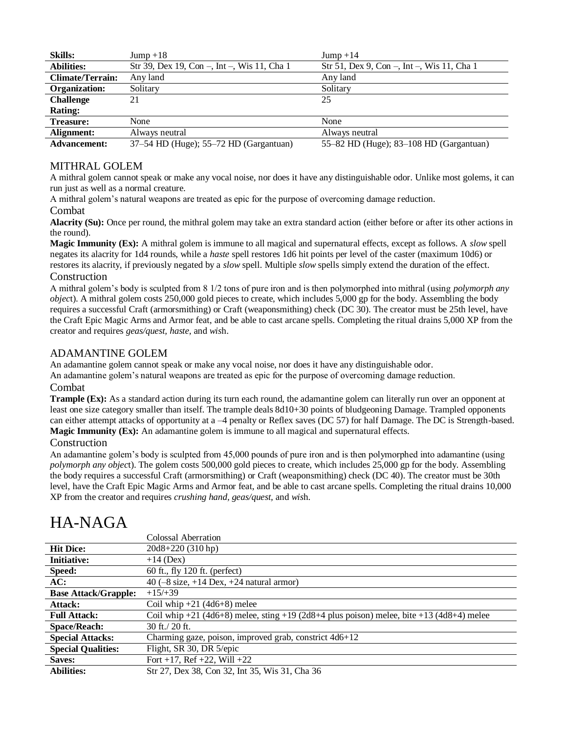| <b>Skills:</b>          | $Jump + 18$                                 | $Jump + 14$                                |
|-------------------------|---------------------------------------------|--------------------------------------------|
| <b>Abilities:</b>       | Str 39, Dex 19, Con -, Int -, Wis 11, Cha 1 | Str 51, Dex 9, Con -, Int -, Wis 11, Cha 1 |
| <b>Climate/Terrain:</b> | Any land                                    | Any land                                   |
| Organization:           | Solitary                                    | Solitary                                   |
| <b>Challenge</b>        | 21                                          | 25                                         |
| <b>Rating:</b>          |                                             |                                            |
| <b>Treasure:</b>        | None                                        | None                                       |
| Alignment:              | Always neutral                              | Always neutral                             |
| <b>Advancement:</b>     | 37–54 HD (Huge); 55–72 HD (Gargantuan)      | 55-82 HD (Huge); 83-108 HD (Gargantuan)    |

### MITHRAL GOLEM

A mithral golem cannot speak or make any vocal noise, nor does it have any distinguishable odor. Unlike most golems, it can run just as well as a normal creature.

A mithral golem's natural weapons are treated as epic for the purpose of overcoming damage reduction.

### Combat

**Alacrity (Su):** Once per round, the mithral golem may take an extra standard action (either before or after its other actions in the round).

**Magic Immunity (Ex):** A mithral golem is immune to all magical and supernatural effects, except as follows. A *slow* spell negates its alacrity for 1d4 rounds, while a *haste* spell restores 1d6 hit points per level of the caster (maximum 10d6) or restores its alacrity, if previously negated by a *slow* spell. Multiple *slow* spells simply extend the duration of the effect.

### **Construction**

A mithral golem's body is sculpted from 8 1/2 tons of pure iron and is then polymorphed into mithral (using *polymorph any objec*t). A mithral golem costs 250,000 gold pieces to create, which includes 5,000 gp for the body. Assembling the body requires a successful Craft (armorsmithing) or Craft (weaponsmithing) check (DC 30). The creator must be 25th level, have the Craft Epic Magic Arms and Armor feat, and be able to cast arcane spells. Completing the ritual drains 5,000 XP from the creator and requires *geas/quest, haste,* and *wis*h.

### ADAMANTINE GOLEM

An adamantine golem cannot speak or make any vocal noise, nor does it have any distinguishable odor.

An adamantine golem's natural weapons are treated as epic for the purpose of overcoming damage reduction. Combat

**Trample (Ex):** As a standard action during its turn each round, the adamantine golem can literally run over an opponent at least one size category smaller than itself. The trample deals 8d10+30 points of bludgeoning Damage. Trampled opponents can either attempt attacks of opportunity at a –4 penalty or Reflex saves (DC 57) for half Damage. The DC is Strength-based. **Magic Immunity (Ex):** An adamantine golem is immune to all magical and supernatural effects.

### Construction

An adamantine golem's body is sculpted from 45,000 pounds of pure iron and is then polymorphed into adamantine (using *polymorph any objec*t). The golem costs 500,000 gold pieces to create, which includes 25,000 gp for the body. Assembling the body requires a successful Craft (armorsmithing) or Craft (weaponsmithing) check (DC 40). The creator must be 30th level, have the Craft Epic Magic Arms and Armor feat, and be able to cast arcane spells. Completing the ritual drains 10,000 XP from the creator and requires *crushing hand, geas/quest,* and *wis*h.

|                             | Colossal Aberration                                                                            |
|-----------------------------|------------------------------------------------------------------------------------------------|
| <b>Hit Dice:</b>            | $20d8+220(310 hp)$                                                                             |
| <b>Initiative:</b>          | $+14$ (Dex)                                                                                    |
| Speed:                      | 60 ft., fly 120 ft. (perfect)                                                                  |
| AC:                         | 40 $(-8 \text{ size}, +14 \text{ Dev}, +24 \text{ natural} \text{arrow})$                      |
| <b>Base Attack/Grapple:</b> | $+15/+39$                                                                                      |
| Attack:                     | Coil whip $+21$ (4d6+8) melee                                                                  |
| <b>Full Attack:</b>         | Coil whip $+21$ (4d6+8) melee, sting $+19$ (2d8+4 plus poison) melee, bite $+13$ (4d8+4) melee |
| <b>Space/Reach:</b>         | $30$ ft./ $20$ ft.                                                                             |
| <b>Special Attacks:</b>     | Charming gaze, poison, improved grab, constrict 4d6+12                                         |
| <b>Special Qualities:</b>   | Flight, SR 30, DR 5/epic                                                                       |
| Saves:                      | Fort +17, Ref +22, Will +22                                                                    |
| <b>Abilities:</b>           | Str 27, Dex 38, Con 32, Int 35, Wis 31, Cha 36                                                 |

# HA-NAGA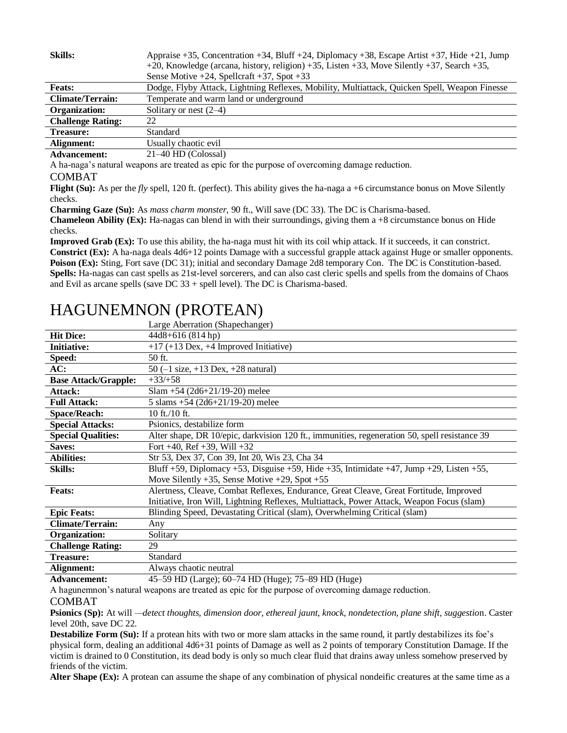| <b>Skills:</b>           | Appraise +35, Concentration +34, Bluff +24, Diplomacy +38, Escape Artist +37, Hide +21, Jump<br>+20, Knowledge (arcana, history, religion) +35, Listen +33, Move Silently +37, Search +35,<br>Sense Motive $+24$ , Spellcraft $+37$ , Spot $+33$ |
|--------------------------|--------------------------------------------------------------------------------------------------------------------------------------------------------------------------------------------------------------------------------------------------|
| <b>Feats:</b>            | Dodge, Flyby Attack, Lightning Reflexes, Mobility, Multiattack, Quicken Spell, Weapon Finesse                                                                                                                                                    |
| <b>Climate/Terrain:</b>  | Temperate and warm land or underground                                                                                                                                                                                                           |
| Organization:            | Solitary or nest $(2-4)$                                                                                                                                                                                                                         |
| <b>Challenge Rating:</b> | 22                                                                                                                                                                                                                                               |
| <b>Treasure:</b>         | Standard                                                                                                                                                                                                                                         |
| Alignment:               | Usually chaotic evil                                                                                                                                                                                                                             |
| Advancement.             | $21-40$ HD (Colossal)                                                                                                                                                                                                                            |

**Advancement:** 21–40 HD (Colossal)

A ha-naga's natural weapons are treated as epic for the purpose of overcoming damage reduction.

#### COMBAT

**Flight (Su):** As per the *fly* spell, 120 ft. (perfect). This ability gives the ha-naga a +6 circumstance bonus on Move Silently checks.

**Charming Gaze (Su):** As *mass charm monster,* 90 ft., Will save (DC 33). The DC is Charisma-based.

**Chameleon Ability (Ex):** Ha-nagas can blend in with their surroundings, giving them a +8 circumstance bonus on Hide checks.

**Improved Grab (Ex):** To use this ability, the ha-naga must hit with its coil whip attack. If it succeeds, it can constrict. **Constrict (Ex):** A ha-naga deals 4d6+12 points Damage with a successful grapple attack against Huge or smaller opponents. **Poison (Ex):** Sting, Fort save (DC 31); initial and secondary Damage 2d8 temporary Con. The DC is Constitution-based. **Spells:** Ha-nagas can cast spells as 21st-level sorcerers, and can also cast cleric spells and spells from the domains of Chaos and Evil as arcane spells (save DC 33 + spell level). The DC is Charisma-based.

# HAGUNEMNON (PROTEAN)

|                             | Large Aberration (Shapechanger)                                                                                                                                                                                                                                                                                                                                                                                        |  |
|-----------------------------|------------------------------------------------------------------------------------------------------------------------------------------------------------------------------------------------------------------------------------------------------------------------------------------------------------------------------------------------------------------------------------------------------------------------|--|
| <b>Hit Dice:</b>            | 44d8+616 (814 hp)                                                                                                                                                                                                                                                                                                                                                                                                      |  |
| <b>Initiative:</b>          | $+17$ (+13 Dex, +4 Improved Initiative)                                                                                                                                                                                                                                                                                                                                                                                |  |
| Speed:                      | 50 ft.                                                                                                                                                                                                                                                                                                                                                                                                                 |  |
| AC:                         | 50 $(-1 \text{ size}, +13 \text{ Dev}, +28 \text{ natural})$                                                                                                                                                                                                                                                                                                                                                           |  |
| <b>Base Attack/Grapple:</b> | $+33/+58$                                                                                                                                                                                                                                                                                                                                                                                                              |  |
| Attack:                     | Slam +54 $(2d6+21/19-20)$ melee                                                                                                                                                                                                                                                                                                                                                                                        |  |
| <b>Full Attack:</b>         | 5 slams $+54$ (2d6+21/19-20) melee                                                                                                                                                                                                                                                                                                                                                                                     |  |
| <b>Space/Reach:</b>         | 10 ft./10 ft.                                                                                                                                                                                                                                                                                                                                                                                                          |  |
| <b>Special Attacks:</b>     | Psionics, destabilize form                                                                                                                                                                                                                                                                                                                                                                                             |  |
| <b>Special Qualities:</b>   | Alter shape, DR 10/epic, darkvision 120 ft., immunities, regeneration 50, spell resistance 39                                                                                                                                                                                                                                                                                                                          |  |
| Saves:                      | Fort $+40$ , Ref $+39$ , Will $+32$                                                                                                                                                                                                                                                                                                                                                                                    |  |
| <b>Abilities:</b>           | Str 53, Dex 37, Con 39, Int 20, Wis 23, Cha 34                                                                                                                                                                                                                                                                                                                                                                         |  |
| <b>Skills:</b>              | Bluff +59, Diplomacy +53, Disguise +59, Hide +35, Intimidate +47, Jump +29, Listen +55,                                                                                                                                                                                                                                                                                                                                |  |
|                             | Move Silently $+35$ , Sense Motive $+29$ , Spot $+55$                                                                                                                                                                                                                                                                                                                                                                  |  |
| <b>Feats:</b>               | Alertness, Cleave, Combat Reflexes, Endurance, Great Cleave, Great Fortitude, Improved                                                                                                                                                                                                                                                                                                                                 |  |
|                             | Initiative, Iron Will, Lightning Reflexes, Multiattack, Power Attack, Weapon Focus (slam)                                                                                                                                                                                                                                                                                                                              |  |
| <b>Epic Feats:</b>          | Blinding Speed, Devastating Critical (slam), Overwhelming Critical (slam)                                                                                                                                                                                                                                                                                                                                              |  |
| <b>Climate/Terrain:</b>     | Any                                                                                                                                                                                                                                                                                                                                                                                                                    |  |
| Organization:               | Solitary                                                                                                                                                                                                                                                                                                                                                                                                               |  |
| <b>Challenge Rating:</b>    | 29                                                                                                                                                                                                                                                                                                                                                                                                                     |  |
| <b>Treasure:</b>            | Standard                                                                                                                                                                                                                                                                                                                                                                                                               |  |
| Alignment:                  | Always chaotic neutral                                                                                                                                                                                                                                                                                                                                                                                                 |  |
| $\mathbf{A}$                | $\mathcal{L}$ fo IID $\mathcal{L}$ $\rightarrow$ $\mathcal{L}$ $\mathcal{L}$ and $\mathcal{L}$ $\mathcal{L}$ $\rightarrow$ $\mathcal{L}$ $\mathcal{L}$ $\rightarrow$ $\mathcal{L}$ $\rightarrow$ $\mathcal{L}$ $\rightarrow$ $\mathcal{L}$ $\rightarrow$ $\mathcal{L}$ $\rightarrow$ $\mathcal{L}$ $\rightarrow$ $\mathcal{L}$ $\rightarrow$ $\mathcal{L}$ $\rightarrow$ $\mathcal{L}$ $\rightarrow$ $\mathcal{L}$ $\$ |  |

**Advancement:** 45–59 HD (Large); 60–74 HD (Huge); 75–89 HD (Huge)

A hagunemnon's natural weapons are treated as epic for the purpose of overcoming damage reduction.

#### COMBAT

**Psionics (Sp):** At will *—detect thoughts, dimension door, ethereal jaunt, knock, nondetection, plane shift, suggestio*n. Caster level 20th, save DC 22.

**Destabilize Form (Su):** If a protean hits with two or more slam attacks in the same round, it partly destabilizes its foe's physical form, dealing an additional 4d6+31 points of Damage as well as 2 points of temporary Constitution Damage. If the victim is drained to 0 Constitution, its dead body is only so much clear fluid that drains away unless somehow preserved by friends of the victim.

Alter Shape (Ex): A protean can assume the shape of any combination of physical nondeific creatures at the same time as a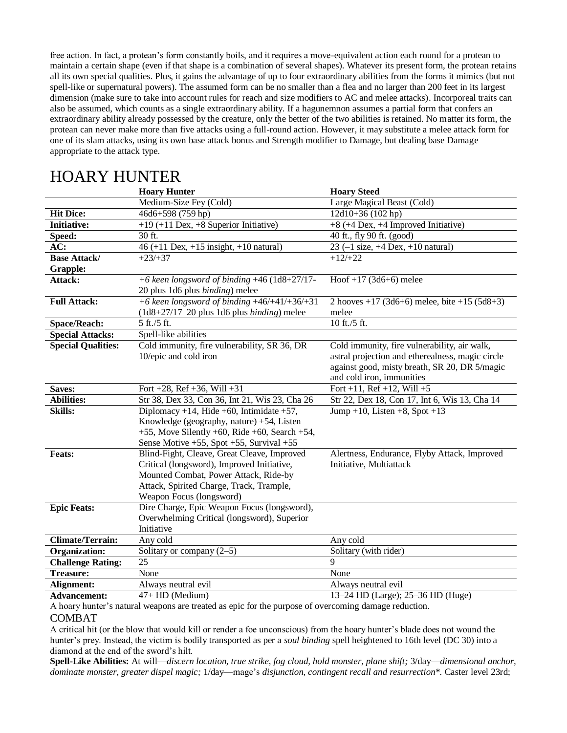free action. In fact, a protean's form constantly boils, and it requires a move-equivalent action each round for a protean to maintain a certain shape (even if that shape is a combination of several shapes). Whatever its present form, the protean retains all its own special qualities. Plus, it gains the advantage of up to four extraordinary abilities from the forms it mimics (but not spell-like or supernatural powers). The assumed form can be no smaller than a flea and no larger than 200 feet in its largest dimension (make sure to take into account rules for reach and size modifiers to AC and melee attacks). Incorporeal traits can also be assumed, which counts as a single extraordinary ability. If a hagunemnon assumes a partial form that confers an extraordinary ability already possessed by the creature, only the better of the two abilities is retained. No matter its form, the protean can never make more than five attacks using a full-round action. However, it may substitute a melee attack form for one of its slam attacks, using its own base attack bonus and Strength modifier to Damage, but dealing base Damage appropriate to the attack type.

|                           | <b>Hoary Hunter</b>                                  | <b>Hoary Steed</b>                                          |
|---------------------------|------------------------------------------------------|-------------------------------------------------------------|
|                           | Medium-Size Fey (Cold)                               | Large Magical Beast (Cold)                                  |
| <b>Hit Dice:</b>          | 46d6+598 (759 hp)                                    | 12d10+36 (102 hp)                                           |
| <b>Initiative:</b>        | $+19$ (+11 Dex, +8 Superior Initiative)              | $+8$ (+4 Dex, +4 Improved Initiative)                       |
| Speed:                    | 30 ft.                                               | 40 ft., fly 90 ft. (good)                                   |
| AC:                       | 46 (+11 Dex, +15 insight, +10 natural)               | 23 $(-1 \text{ size}, +4 \text{ Dev}, +10 \text{ natural})$ |
| <b>Base Attack/</b>       | $+23/+37$                                            | $+12/+22$                                                   |
| <b>Grapple:</b>           |                                                      |                                                             |
| Attack:                   | +6 keen longsword of binding $+46$ (1d8+27/17-       | Hoof +17 (3d6+6) melee                                      |
|                           | 20 plus 1d6 plus binding) melee                      |                                                             |
| <b>Full Attack:</b>       | +6 keen longsword of binding $+46/+41/+36/+31$       | 2 hooves $+17$ (3d6+6) melee, bite $+15$ (5d8+3)            |
|                           | $(1d8+27/17-20$ plus 1d6 plus <i>binding</i> ) melee | melee                                                       |
| <b>Space/Reach:</b>       | 5 ft./5 ft.                                          | 10 ft./5 ft.                                                |
| <b>Special Attacks:</b>   | Spell-like abilities                                 |                                                             |
| <b>Special Qualities:</b> | Cold immunity, fire vulnerability, SR 36, DR         | Cold immunity, fire vulnerability, air walk,                |
|                           | 10/epic and cold iron                                | astral projection and etherealness, magic circle            |
|                           |                                                      | against good, misty breath, SR 20, DR 5/magic               |
|                           |                                                      | and cold iron, immunities                                   |
| Saves:                    | Fort +28, Ref +36, Will +31                          | Fort +11, Ref +12, Will +5                                  |
| <b>Abilities:</b>         | Str 38, Dex 33, Con 36, Int 21, Wis 23, Cha 26       | Str 22, Dex 18, Con 17, Int 6, Wis 13, Cha 14               |
| <b>Skills:</b>            | Diplomacy +14, Hide +60, Intimidate +57,             | Jump +10, Listen +8, Spot +13                               |
|                           | Knowledge (geography, nature) +54, Listen            |                                                             |
|                           | +55, Move Silently +60, Ride +60, Search +54,        |                                                             |
|                           | Sense Motive $+55$ , Spot $+55$ , Survival $+55$     |                                                             |
| <b>Feats:</b>             | Blind-Fight, Cleave, Great Cleave, Improved          | Alertness, Endurance, Flyby Attack, Improved                |
|                           | Critical (longsword), Improved Initiative,           | Initiative, Multiattack                                     |
|                           | Mounted Combat, Power Attack, Ride-by                |                                                             |
|                           | Attack, Spirited Charge, Track, Trample,             |                                                             |
|                           | Weapon Focus (longsword)                             |                                                             |
| <b>Epic Feats:</b>        | Dire Charge, Epic Weapon Focus (longsword),          |                                                             |
|                           | Overwhelming Critical (longsword), Superior          |                                                             |
|                           | Initiative                                           |                                                             |
| <b>Climate/Terrain:</b>   | Any cold                                             | Any cold                                                    |
| Organization:             | Solitary or company $(2-5)$                          | Solitary (with rider)                                       |
| <b>Challenge Rating:</b>  | 25                                                   | 9                                                           |
| <b>Treasure:</b>          | None                                                 | None                                                        |
| Alignment:                | Always neutral evil                                  | Always neutral evil                                         |
| <b>Advancement:</b>       | 47+ HD (Medium)                                      | 13-24 HD (Large); 25-36 HD (Huge)                           |

## HOARY HUNTER

A hoary hunter's natural weapons are treated as epic for the purpose of overcoming damage reduction. COMBAT

A critical hit (or the blow that would kill or render a foe unconscious) from the hoary hunter's blade does not wound the hunter's prey. Instead, the victim is bodily transported as per a *soul binding* spell heightened to 16th level (DC 30) into a diamond at the end of the sword's hilt.

**Spell-Like Abilities:** At will—*discern location, true strike, fog cloud, hold monster, plane shift;* 3/day—*dimensional anchor, dominate monster, greater dispel magic;* 1/day—mage's *disjunction, contingent recall and resurrection\*.* Caster level 23rd;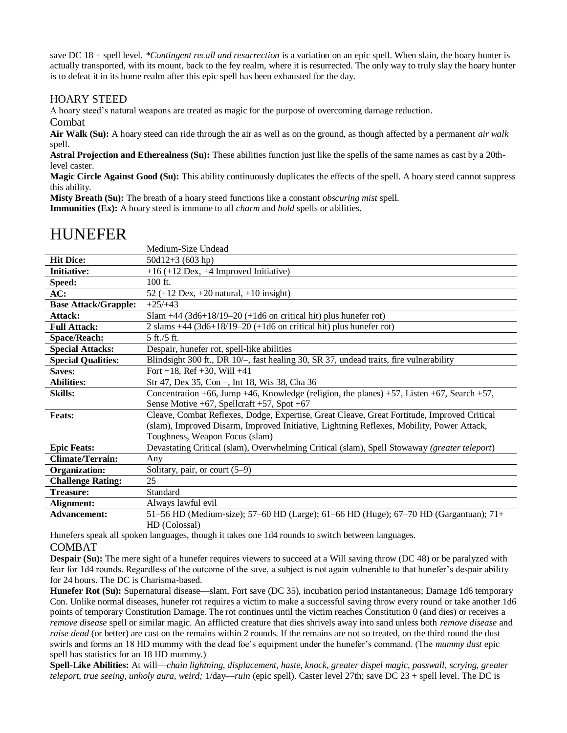save DC 18 + spell level. *\*Contingent recall and resurrection* is a variation on an epic spell. When slain, the hoary hunter is actually transported, with its mount, back to the fey realm, where it is resurrected. The only way to truly slay the hoary hunter is to defeat it in its home realm after this epic spell has been exhausted for the day.

### HOARY STEED

A hoary steed's natural weapons are treated as magic for the purpose of overcoming damage reduction.

Combat

**Air Walk (Su):** A hoary steed can ride through the air as well as on the ground, as though affected by a permanent *air walk*  spell.

**Astral Projection and Etherealness (Su):** These abilities function just like the spells of the same names as cast by a 20thlevel caster.

**Magic Circle Against Good (Su):** This ability continuously duplicates the effects of the spell. A hoary steed cannot suppress this ability.

**Misty Breath (Su):** The breath of a hoary steed functions like a constant *obscuring mist* spell. **Immunities (Ex):** A hoary steed is immune to all *charm* and *hold* spells or abilities.

# HUNEFER

|                             | Medium-Size Undead                                                                           |
|-----------------------------|----------------------------------------------------------------------------------------------|
| <b>Hit Dice:</b>            | $50d12+3(603 hp)$                                                                            |
| <b>Initiative:</b>          | $+16 (+12$ Dex, $+4$ Improved Initiative)                                                    |
| Speed:                      | $100$ ft.                                                                                    |
| AC:                         | 52 (+12 Dex, +20 natural, +10 insight)                                                       |
| <b>Base Attack/Grapple:</b> | $+25/+43$                                                                                    |
| Attack:                     | Slam $+44$ (3d6+18/19-20 (+1d6 on critical hit) plus hunefer rot)                            |
| <b>Full Attack:</b>         | 2 slams $+44$ (3d6+18/19–20 (+1d6 on critical hit) plus hunefer rot)                         |
| <b>Space/Reach:</b>         | 5 ft./5 ft.                                                                                  |
| <b>Special Attacks:</b>     | Despair, hunefer rot, spell-like abilities                                                   |
| <b>Special Qualities:</b>   | Blindsight 300 ft., DR 10/-, fast healing 30, SR 37, undead traits, fire vulnerability       |
| Saves:                      | Fort +18, Ref +30, Will +41                                                                  |
| <b>Abilities:</b>           | Str 47, Dex 35, Con –, Int 18, Wis 38, Cha 36                                                |
| <b>Skills:</b>              | Concentration +66, Jump +46, Knowledge (religion, the planes) +57, Listen +67, Search +57,   |
|                             | Sense Motive $+67$ , Spellcraft $+57$ , Spot $+67$                                           |
| <b>Feats:</b>               | Cleave, Combat Reflexes, Dodge, Expertise, Great Cleave, Great Fortitude, Improved Critical  |
|                             | (slam), Improved Disarm, Improved Initiative, Lightning Reflexes, Mobility, Power Attack,    |
|                             | Toughness, Weapon Focus (slam)                                                               |
| <b>Epic Feats:</b>          | Devastating Critical (slam), Overwhelming Critical (slam), Spell Stowaway (greater teleport) |
| <b>Climate/Terrain:</b>     | Any                                                                                          |
| Organization:               | Solitary, pair, or court $(5-9)$                                                             |
| <b>Challenge Rating:</b>    | 25                                                                                           |
| <b>Treasure:</b>            | Standard                                                                                     |
| Alignment:                  | Always lawful evil                                                                           |
| <b>Advancement:</b>         | 51–56 HD (Medium-size); 57–60 HD (Large); 61–66 HD (Huge); 67–70 HD (Gargantuan); 71+        |
|                             | HD (Colossal)                                                                                |

Hunefers speak all spoken languages, though it takes one 1d4 rounds to switch between languages. COMBAT

**Despair (Su):** The mere sight of a hunefer requires viewers to succeed at a Will saving throw (DC 48) or be paralyzed with fear for 1d4 rounds. Regardless of the outcome of the save, a subject is not again vulnerable to that hunefer's despair ability for 24 hours. The DC is Charisma-based.

**Hunefer Rot (Su):** Supernatural disease—slam, Fort save (DC 35), incubation period instantaneous; Damage 1d6 temporary Con. Unlike normal diseases, hunefer rot requires a victim to make a successful saving throw every round or take another 1d6 points of temporary Constitution Damage. The rot continues until the victim reaches Constitution 0 (and dies) or receives a *remove disease* spell or similar magic. An afflicted creature that dies shrivels away into sand unless both *remove disease* and *raise dead* (or better) are cast on the remains within 2 rounds. If the remains are not so treated, on the third round the dust swirls and forms an 18 HD mummy with the dead foe's equipment under the hunefer's command. (The *mummy dust* epic spell has statistics for an 18 HD mummy.)

**Spell-Like Abilities:** At will—*chain lightning, displacement, haste, knock, greater dispel magic, passwall, scrying, greater teleport, true seeing, unholy aura, weird;* 1/day—*ruin* (epic spell). Caster level 27th; save DC 23 + spell level. The DC is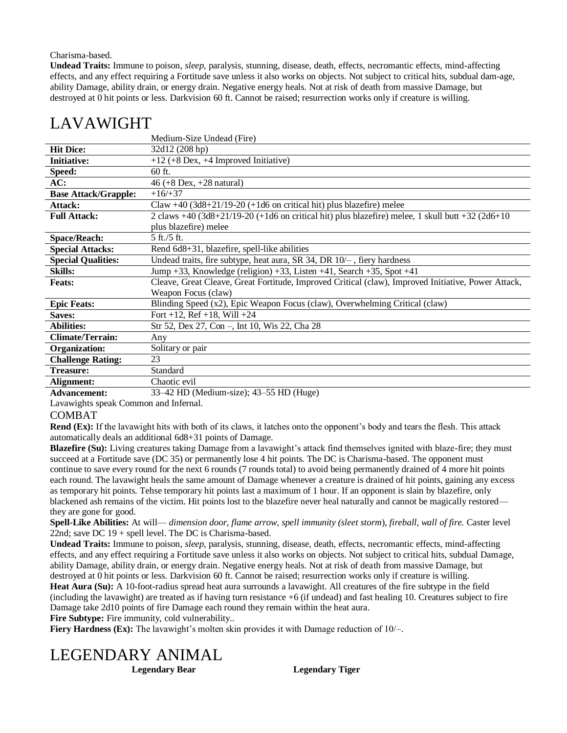#### Charisma-based.

**Undead Traits:** Immune to poison, *sleep,* paralysis, stunning, disease, death, effects, necromantic effects, mind-affecting effects, and any effect requiring a Fortitude save unless it also works on objects. Not subject to critical hits, subdual dam-age, ability Damage, ability drain, or energy drain. Negative energy heals. Not at risk of death from massive Damage, but destroyed at 0 hit points or less. Darkvision 60 ft. Cannot be raised; resurrection works only if creature is willing.

### LAVAWIGHT

|                             | Medium-Size Undead (Fire)                                                                            |
|-----------------------------|------------------------------------------------------------------------------------------------------|
| <b>Hit Dice:</b>            | 32d12 (208 hp)                                                                                       |
| <b>Initiative:</b>          | $+12$ (+8 Dex, +4 Improved Initiative)                                                               |
| Speed:                      | 60 ft.                                                                                               |
| AC:                         | $46 (+8$ Dex, $+28$ natural)                                                                         |
| <b>Base Attack/Grapple:</b> | $+16/+37$                                                                                            |
| Attack:                     | Claw $+40$ (3d8+21/19-20 (+1d6 on critical hit) plus blazefire) melee                                |
| <b>Full Attack:</b>         | 2 claws $+40$ (3d8+21/19-20 (+1d6 on critical hit) plus blazefire) melee, 1 skull butt $+32$ (2d6+10 |
|                             | plus blazefire) melee                                                                                |
| <b>Space/Reach:</b>         | $5 \text{ ft}$ ./5 ft.                                                                               |
| <b>Special Attacks:</b>     | Rend 6d8+31, blazefire, spell-like abilities                                                         |
| <b>Special Qualities:</b>   | Undead traits, fire subtype, heat aura, SR 34, DR $10/-$ , fiery hardness                            |
| <b>Skills:</b>              | Jump +33, Knowledge (religion) +33, Listen +41, Search +35, Spot +41                                 |
| <b>Feats:</b>               | Cleave, Great Cleave, Great Fortitude, Improved Critical (claw), Improved Initiative, Power Attack,  |
|                             | Weapon Focus (claw)                                                                                  |
| <b>Epic Feats:</b>          | Blinding Speed (x2), Epic Weapon Focus (claw), Overwhelming Critical (claw)                          |
| Saves:                      | Fort +12, Ref +18, Will +24                                                                          |
| <b>Abilities:</b>           | Str 52, Dex 27, Con -, Int 10, Wis 22, Cha 28                                                        |
| <b>Climate/Terrain:</b>     | Any                                                                                                  |
| Organization:               | Solitary or pair                                                                                     |
| <b>Challenge Rating:</b>    | 23                                                                                                   |
| <b>Treasure:</b>            | Standard                                                                                             |
| Alignment:                  | Chaotic evil                                                                                         |
|                             | 22.1277221<br>$\sim$ $\sim$ $\sim$ $\sim$ $\sim$ $\sim$ $\sim$ $\sim$                                |

**Advancement:** 33–42 HD (Medium-size); 43–55 HD (Huge)

Lavawights speak Common and Infernal.

#### COMBAT

**Rend (Ex):** If the lavawight hits with both of its claws, it latches onto the opponent's body and tears the flesh. This attack automatically deals an additional 6d8+31 points of Damage.

**Blazefire (Su):** Living creatures taking Damage from a lavawight's attack find themselves ignited with blaze-fire; they must succeed at a Fortitude save (DC 35) or permanently lose 4 hit points. The DC is Charisma-based. The opponent must continue to save every round for the next 6 rounds (7 rounds total) to avoid being permanently drained of 4 more hit points each round. The lavawight heals the same amount of Damage whenever a creature is drained of hit points, gaining any excess as temporary hit points. Tehse temporary hit points last a maximum of 1 hour. If an opponent is slain by blazefire, only blackened ash remains of the victim. Hit points lost to the blazefire never heal naturally and cannot be magically restored they are gone for good.

**Spell-Like Abilities:** At will— *dimension door, flame arrow, spell immunity (sleet storm*), *fireball, wall of fire.* Caster level 22nd; save DC 19 + spell level. The DC is Charisma-based.

**Undead Traits:** Immune to poison, *sleep,* paralysis, stunning, disease, death, effects, necromantic effects, mind-affecting effects, and any effect requiring a Fortitude save unless it also works on objects. Not subject to critical hits, subdual Damage, ability Damage, ability drain, or energy drain. Negative energy heals. Not at risk of death from massive Damage, but destroyed at 0 hit points or less. Darkvision 60 ft. Cannot be raised; resurrection works only if creature is willing. **Heat Aura (Su):** A 10-foot-radius spread heat aura surrounds a lavawight. All creatures of the fire subtype in the field (including the lavawight) are treated as if having turn resistance +6 (if undead) and fast healing 10. Creatures subject to fire

Damage take 2d10 points of fire Damage each round they remain within the heat aura.

**Fire Subtype:** Fire immunity, cold vulnerability..

**Fiery Hardness (Ex):** The lavawight's molten skin provides it with Damage reduction of  $10/-$ .

# LEGENDARY ANIMAL

**Legendary Bear Legendary Tiger**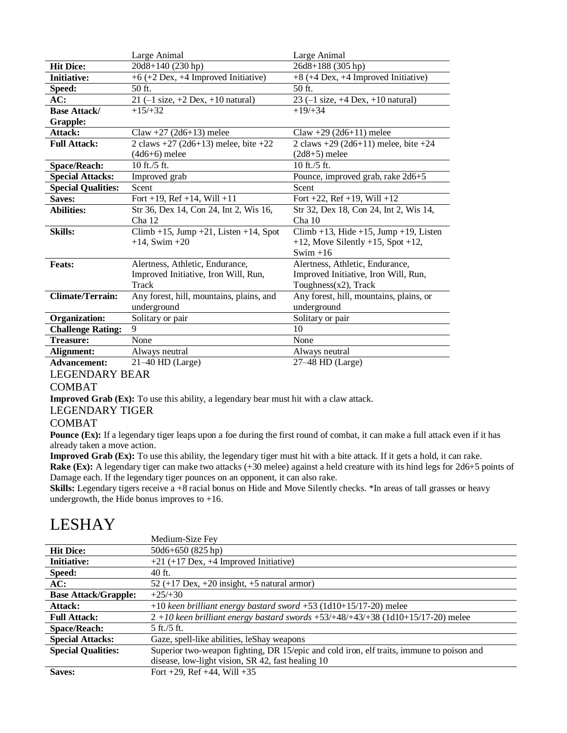|                           | Large Animal                                                | Large Animal                                                |
|---------------------------|-------------------------------------------------------------|-------------------------------------------------------------|
| <b>Hit Dice:</b>          | 20d8+140 (230 hp)                                           | 26d8+188 (305 hp)                                           |
| <b>Initiative:</b>        | +6 (+2 Dex, +4 Improved Initiative)                         | +8 (+4 Dex, +4 Improved Initiative)                         |
| Speed:                    | $50$ ft.                                                    | $50$ ft.                                                    |
| AC:                       | 21 $(-1 \text{ size}, +2 \text{ Dev}, +10 \text{ natural})$ | 23 $(-1 \text{ size}, +4 \text{ Dev}, +10 \text{ natural})$ |
| <b>Base Attack/</b>       | $+15/+32$                                                   | $+19/+34$                                                   |
| <b>Grapple:</b>           |                                                             |                                                             |
| Attack:                   | Claw +27 (2d6+13) melee                                     | Claw +29 $(2d6+11)$ melee                                   |
| <b>Full Attack:</b>       | 2 claws $+27$ (2d6+13) melee, bite $+22$                    | 2 claws $+29$ (2d6+11) melee, bite $+24$                    |
|                           | $(4d6+6)$ melee                                             | $(2d8+5)$ melee                                             |
| <b>Space/Reach:</b>       | 10 ft./5 ft.                                                | 10 ft./5 ft.                                                |
| <b>Special Attacks:</b>   | Improved grab                                               | Pounce, improved grab, rake 2d6+5                           |
| <b>Special Qualities:</b> | Scent                                                       | Scent                                                       |
| Saves:                    | Fort +19, Ref +14, Will +11                                 | Fort +22, Ref +19, Will +12                                 |
| <b>Abilities:</b>         | Str 36, Dex 14, Con 24, Int 2, Wis 16,                      | Str 32, Dex 18, Con 24, Int 2, Wis 14,                      |
|                           | Cha12                                                       | Cha 10                                                      |
| <b>Skills:</b>            | $Climb +15$ , Jump +21, Listen +14, Spot                    | $Climb + 13$ , Hide +15, Jump +19, Listen                   |
|                           | $+14$ , Swim $+20$                                          | $+12$ , Move Silently $+15$ , Spot $+12$ ,                  |
|                           |                                                             | Swim $+16$                                                  |
| <b>Feats:</b>             | Alertness, Athletic, Endurance,                             | Alertness, Athletic, Endurance,                             |
|                           | Improved Initiative, Iron Will, Run,                        | Improved Initiative, Iron Will, Run,                        |
|                           | Track                                                       | Toughness $(x2)$ , Track                                    |
| <b>Climate/Terrain:</b>   | Any forest, hill, mountains, plains, and                    | Any forest, hill, mountains, plains, or                     |
|                           | underground                                                 | underground                                                 |
| Organization:             | Solitary or pair                                            | Solitary or pair                                            |
| <b>Challenge Rating:</b>  | 9                                                           | 10                                                          |
| <b>Treasure:</b>          | None                                                        | None                                                        |
| Alignment:                | Always neutral                                              | Always neutral                                              |
| <b>Advancement:</b>       | $21-40$ HD (Large)                                          | $27-48$ HD (Large)                                          |

### LEGENDARY BEAR

### COMBAT

**Improved Grab (Ex):** To use this ability, a legendary bear must hit with a claw attack.

### LEGENDARY TIGER

### COMBAT

**Pounce (Ex):** If a legendary tiger leaps upon a foe during the first round of combat, it can make a full attack even if it has already taken a move action.

**Improved Grab (Ex):** To use this ability, the legendary tiger must hit with a bite attack. If it gets a hold, it can rake. **Rake (Ex):** A legendary tiger can make two attacks (+30 melee) against a held creature with its hind legs for 2d6+5 points of Damage each. If the legendary tiger pounces on an opponent, it can also rake.

**Skills:** Legendary tigers receive a +8 racial bonus on Hide and Move Silently checks. \*In areas of tall grasses or heavy undergrowth, the Hide bonus improves to  $+16$ .

# LESHAY

|                             | Medium-Size Fey                                                                          |
|-----------------------------|------------------------------------------------------------------------------------------|
| <b>Hit Dice:</b>            | $50d6+650(825 hp)$                                                                       |
| <b>Initiative:</b>          | $+21$ (+17 Dex, +4 Improved Initiative)                                                  |
| Speed:                      | $40$ ft.                                                                                 |
| AC:                         | $52 (+17$ Dex, $+20$ insight, $+5$ natural armor)                                        |
| <b>Base Attack/Grapple:</b> | $+25/+30$                                                                                |
| Attack:                     | $+10$ keen brilliant energy bastard sword $+53$ (1d10+15/17-20) melee                    |
| <b>Full Attack:</b>         | $2 + 10$ keen brilliant energy bastard swords +53/+48/+43/+38 (1d10+15/17-20) melee      |
| <b>Space/Reach:</b>         | $5$ ft./ $5$ ft.                                                                         |
| <b>Special Attacks:</b>     | Gaze, spell-like abilities, leShay weapons                                               |
| <b>Special Qualities:</b>   | Superior two-weapon fighting, DR 15/epic and cold iron, elf traits, immune to poison and |
|                             | disease, low-light vision, SR 42, fast healing 10                                        |
| Saves:                      | Fort +29, Ref +44, Will +35                                                              |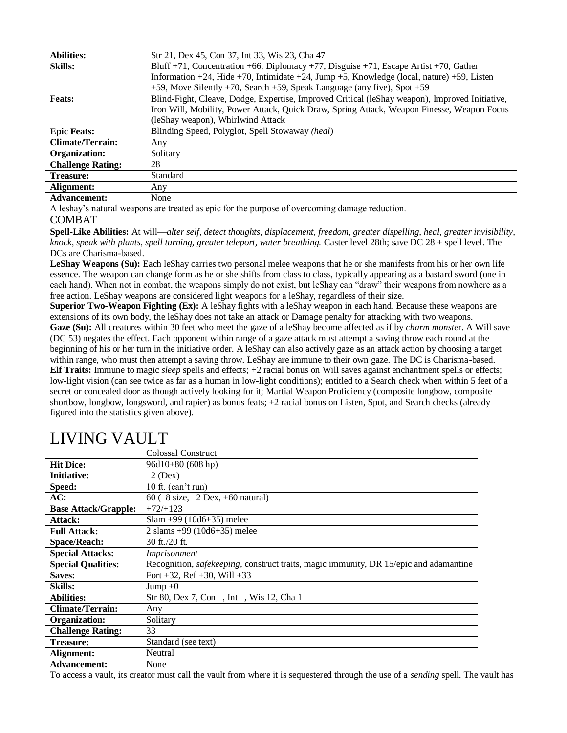| <b>Abilities:</b>        | Str 21, Dex 45, Con 37, Int 33, Wis 23, Cha 47                                                 |  |
|--------------------------|------------------------------------------------------------------------------------------------|--|
| <b>Skills:</b>           | Bluff +71, Concentration +66, Diplomacy +77, Disguise +71, Escape Artist +70, Gather           |  |
|                          | Information +24, Hide +70, Intimidate +24, Jump +5, Knowledge (local, nature) +59, Listen      |  |
|                          | +59, Move Silently +70, Search +59, Speak Language (any five), Spot +59                        |  |
| <b>Feats:</b>            | Blind-Fight, Cleave, Dodge, Expertise, Improved Critical (leShay weapon), Improved Initiative, |  |
|                          | Iron Will, Mobility, Power Attack, Quick Draw, Spring Attack, Weapon Finesse, Weapon Focus     |  |
|                          | (leShay weapon), Whirlwind Attack                                                              |  |
| <b>Epic Feats:</b>       | Blinding Speed, Polyglot, Spell Stowaway (heal)                                                |  |
| <b>Climate/Terrain:</b>  | Any                                                                                            |  |
| Organization:            | Solitary                                                                                       |  |
| <b>Challenge Rating:</b> | 28                                                                                             |  |
| Treasure:                | Standard                                                                                       |  |
| Alignment:               | Any                                                                                            |  |
| $\cdots$                 | $\mathbf{r}$                                                                                   |  |

#### **Advancement:** None

A leshay's natural weapons are treated as epic for the purpose of overcoming damage reduction.

### COMBAT

**Spell-Like Abilities:** At will—*alter self, detect thoughts, displacement, freedom, greater dispelling, heal, greater invisibility, knock, speak with plants, spell turning, greater teleport, water breathing.* Caster level 28th; save DC 28 + spell level. The DCs are Charisma-based.

LeShay Weapons (Su): Each leShay carries two personal melee weapons that he or she manifests from his or her own life essence. The weapon can change form as he or she shifts from class to class, typically appearing as a bastard sword (one in each hand). When not in combat, the weapons simply do not exist, but leShay can "draw" their weapons from nowhere as a free action. LeShay weapons are considered light weapons for a leShay, regardless of their size.

**Superior Two-Weapon Fighting (Ex):** A leShay fights with a leShay weapon in each hand. Because these weapons are extensions of its own body, the leShay does not take an attack or Damage penalty for attacking with two weapons. **Gaze (Su):** All creatures within 30 feet who meet the gaze of a leShay become affected as if by *charm monste*r. A Will save (DC 53) negates the effect. Each opponent within range of a gaze attack must attempt a saving throw each round at the beginning of his or her turn in the initiative order. A leShay can also actively gaze as an attack action by choosing a target within range, who must then attempt a saving throw. LeShay are immune to their own gaze. The DC is Charisma-based. **Elf Traits:** Immune to magic *sleep* spells and effects; +2 racial bonus on Will saves against enchantment spells or effects; low-light vision (can see twice as far as a human in low-light conditions); entitled to a Search check when within 5 feet of a secret or concealed door as though actively looking for it; Martial Weapon Proficiency (composite longbow, composite shortbow, longbow, longsword, and rapier) as bonus feats; +2 racial bonus on Listen, Spot, and Search checks (already figured into the statistics given above).

|                             | Colossal Construct                                                                    |
|-----------------------------|---------------------------------------------------------------------------------------|
| <b>Hit Dice:</b>            | $96d10+80(608 hp)$                                                                    |
| <b>Initiative:</b>          | $-2$ (Dex)                                                                            |
| Speed:                      | 10 ft. $(can't run)$                                                                  |
| AC:                         | 60 $(-8 \text{ size}, -2 \text{ Dev}, +60 \text{ natural})$                           |
| <b>Base Attack/Grapple:</b> | $+72/+123$                                                                            |
| Attack:                     | $Slam +99(10d6+35)$ melee                                                             |
| <b>Full Attack:</b>         | 2 slams $+99$ (10d6+35) melee                                                         |
| <b>Space/Reach:</b>         | 30 ft./20 ft.                                                                         |
| <b>Special Attacks:</b>     | Imprisonment                                                                          |
| <b>Special Qualities:</b>   | Recognition, safekeeping, construct traits, magic immunity, DR 15/epic and adamantine |
| Saves:                      | Fort $+32$ , Ref $+30$ , Will $+33$                                                   |
| <b>Skills:</b>              | $Jump + 0$                                                                            |
| <b>Abilities:</b>           | Str 80, Dex 7, Con –, Int –, Wis 12, Cha 1                                            |
| <b>Climate/Terrain:</b>     | Any                                                                                   |
| Organization:               | Solitary                                                                              |
| <b>Challenge Rating:</b>    | 33                                                                                    |
| <b>Treasure:</b>            | Standard (see text)                                                                   |
| Alignment:                  | Neutral                                                                               |
| <b>Advancement:</b>         | None                                                                                  |

# LIVING VAULT

To access a vault, its creator must call the vault from where it is sequestered through the use of a *sending* spell. The vault has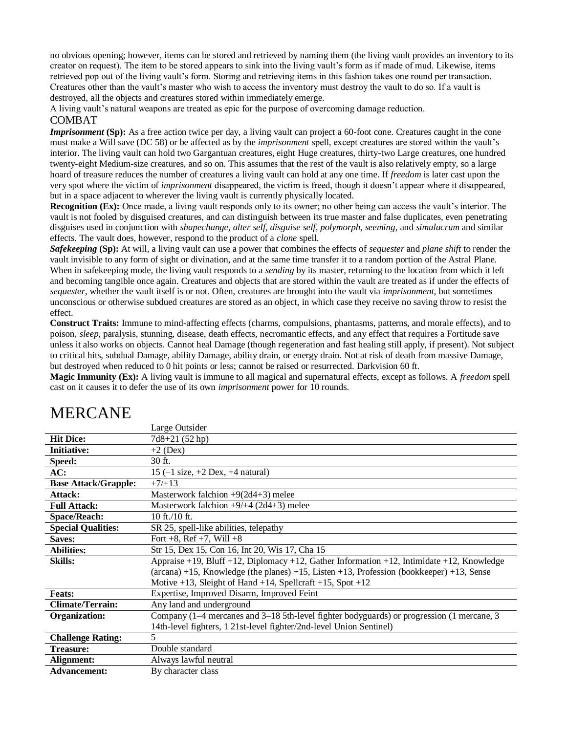no obvious opening; however, items can be stored and retrieved by naming them (the living vault provides an inventory to its creator on request). The item to be stored appears to sink into the living vault's form as if made of mud. Likewise, items retrieved pop out of the living vault's form. Storing and retrieving items in this fashion takes one round per transaction. Creatures other than the vault's master who wish to access the inventory must destroy the vault to do so. If a vault is destroyed, all the objects and creatures stored within immediately emerge.

A living vault's natural weapons are treated as epic for the purpose of overcoming damage reduction. COMBAT

*Imprisonment* (Sp): As a free action twice per day, a living vault can project a 60-foot cone. Creatures caught in the cone must make a Will save (DC 58) or be affected as by the *imprisonment* spell, except creatures are stored within the vault's interior. The living vault can hold two Gargantuan creatures, eight Huge creatures, thirty-two Large creatures, one hundred twenty-eight Medium-size creatures, and so on. This assumes that the rest of the vault is also relatively empty, so a large hoard of treasure reduces the number of creatures a living vault can hold at any one time. If *freedom* is later cast upon the very spot where the victim of *imprisonment* disappeared, the victim is freed, though it doesn't appear where it disappeared, but in a space adjacent to wherever the living vault is currently physically located.

**Recognition (Ex):** Once made, a living vault responds only to its owner; no other being can access the vault's interior. The vault is not fooled by disguised creatures, and can distinguish between its true master and false duplicates, even penetrating disguises used in conjunction with *shapechange, alter self, disguise self, polymorph, seeming,* and *simulacrum* and similar effects. The vault does, however, respond to the product of a *clone* spell.

*Safekeeping* **(Sp):** At will, a living vault can use a power that combines the effects of *sequester* and *plane shift* to render the vault invisible to any form of sight or divination, and at the same time transfer it to a random portion of the Astral Plane. When in safekeeping mode, the living vault responds to a *sending* by its master, returning to the location from which it left and becoming tangible once again. Creatures and objects that are stored within the vault are treated as if under the effects of *sequester,* whether the vault itself is or not. Often, creatures are brought into the vault via *imprisonment,* but sometimes unconscious or otherwise subdued creatures are stored as an object, in which case they receive no saving throw to resist the effect.

**Construct Traits:** Immune to mind-affecting effects (charms, compulsions, phantasms, patterns, and morale effects), and to poison, *sleep,* paralysis, stunning, disease, death effects, necromantic effects, and any effect that requires a Fortitude save unless it also works on objects. Cannot heal Damage (though regeneration and fast healing still apply, if present). Not subject to critical hits, subdual Damage, ability Damage, ability drain, or energy drain. Not at risk of death from massive Damage, but destroyed when reduced to 0 hit points or less; cannot be raised or resurrected. Darkvision 60 ft.

**Magic Immunity (Ex):** A living vault is immune to all magical and supernatural effects, except as follows. A *freedom* spell cast on it causes it to defer the use of its own *imprisonment* power for 10 rounds.

|                             | Large Outsider                                                                                 |
|-----------------------------|------------------------------------------------------------------------------------------------|
| <b>Hit Dice:</b>            | $7d8+21(52 hp)$                                                                                |
| <b>Initiative:</b>          | $+2$ (Dex)                                                                                     |
| Speed:                      | 30 ft.                                                                                         |
| AC:                         | 15 $(-1 \text{ size}, +2 \text{ Dev}, +4 \text{ natural})$                                     |
| <b>Base Attack/Grapple:</b> | $+7/+13$                                                                                       |
| Attack:                     | Masterwork falchion $+9(2d4+3)$ melee                                                          |
| <b>Full Attack:</b>         | Masterwork falchion $+9/+4$ (2d4+3) melee                                                      |
| <b>Space/Reach:</b>         | 10 ft./10 ft.                                                                                  |
| <b>Special Qualities:</b>   | SR 25, spell-like abilities, telepathy                                                         |
| Saves:                      | Fort +8, Ref +7, Will +8                                                                       |
| Abilities:                  | Str 15, Dex 15, Con 16, Int 20, Wis 17, Cha 15                                                 |
| <b>Skills:</b>              | Appraise +19, Bluff +12, Diplomacy +12, Gather Information +12, Intimidate +12, Knowledge      |
|                             | $(\arctan a) +15$ , Knowledge (the planes) +15, Listen +13, Profession (bookkeeper) +13, Sense |
|                             | Motive $+13$ , Sleight of Hand $+14$ , Spellcraft $+15$ , Spot $+12$                           |
| <b>Feats:</b>               | Expertise, Improved Disarm, Improved Feint                                                     |
| <b>Climate/Terrain:</b>     | Any land and underground                                                                       |
| Organization:               | Company $(1-4$ mercanes and $3-18$ 5th-level fighter bodyguards) or progression (1 mercane, 3  |
|                             | 14th-level fighters, 1 21st-level fighter/2nd-level Union Sentinel)                            |
| <b>Challenge Rating:</b>    | 5                                                                                              |
| <b>Treasure:</b>            | Double standard                                                                                |
| Alignment:                  | Always lawful neutral                                                                          |
| <b>Advancement:</b>         | By character class                                                                             |

# MERCANE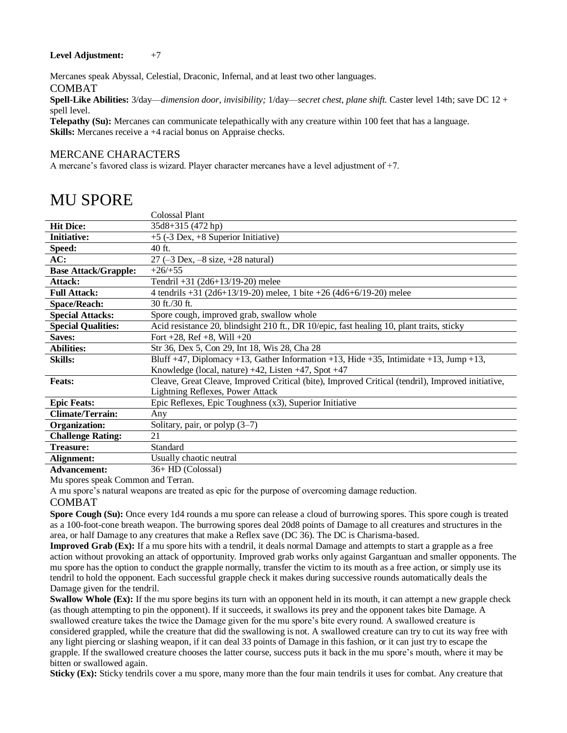#### Level Adjustment:  $+7$

Mercanes speak Abyssal, Celestial, Draconic, Infernal, and at least two other languages. COMBAT

**Spell-Like Abilities:** 3/day—*dimension door, invisibility;* 1/day—*secret chest, plane shift.* Caster level 14th; save DC 12 + spell level.

**Telepathy (Su):** Mercanes can communicate telepathically with any creature within 100 feet that has a language. **Skills:** Mercanes receive a +4 racial bonus on Appraise checks.

#### MERCANE CHARACTERS

A mercane's favored class is wizard. Player character mercanes have a level adjustment of +7.

|                             | Colossal Plant                                                                                    |
|-----------------------------|---------------------------------------------------------------------------------------------------|
| <b>Hit Dice:</b>            | 35d8+315 (472 hp)                                                                                 |
| <b>Initiative:</b>          | +5 (-3 Dex, +8 Superior Initiative)                                                               |
| Speed:                      | 40 ft.                                                                                            |
| AC:                         | $27 (-3 \text{ Dev}, -8 \text{ size}, +28 \text{ natural})$                                       |
| <b>Base Attack/Grapple:</b> | $+26/+55$                                                                                         |
| Attack:                     | Tendril +31 (2d6+13/19-20) melee                                                                  |
| <b>Full Attack:</b>         | 4 tendrils $+31$ (2d6+13/19-20) melee, 1 bite $+26$ (4d6+6/19-20) melee                           |
| <b>Space/Reach:</b>         | 30 ft./30 ft.                                                                                     |
| <b>Special Attacks:</b>     | Spore cough, improved grab, swallow whole                                                         |
| <b>Special Qualities:</b>   | Acid resistance 20, blindsight 210 ft., DR 10/epic, fast healing 10, plant traits, sticky         |
| Saves:                      | Fort $+28$ , Ref $+8$ , Will $+20$                                                                |
| <b>Abilities:</b>           | Str 36, Dex 5, Con 29, Int 18, Wis 28, Cha 28                                                     |
| <b>Skills:</b>              | Bluff +47, Diplomacy +13, Gather Information +13, Hide +35, Intimidate +13, Jump +13,             |
|                             | Knowledge (local, nature) $+42$ , Listen $+47$ , Spot $+47$                                       |
| <b>Feats:</b>               | Cleave, Great Cleave, Improved Critical (bite), Improved Critical (tendril), Improved initiative, |
|                             | Lightning Reflexes, Power Attack                                                                  |
| <b>Epic Feats:</b>          | Epic Reflexes, Epic Toughness (x3), Superior Initiative                                           |
| <b>Climate/Terrain:</b>     | Any                                                                                               |
| <b>Organization:</b>        | Solitary, pair, or polyp $(3-7)$                                                                  |
| <b>Challenge Rating:</b>    | 21                                                                                                |
| Treasure:                   | Standard                                                                                          |
| Alignment:                  | Usually chaotic neutral                                                                           |
| Advancement:                | 36+ HD (Colossal)                                                                                 |

Mu spores speak Common and Terran.

A mu spore's natural weapons are treated as epic for the purpose of overcoming damage reduction.

#### COMBAT

**Spore Cough (Su):** Once every 1d4 rounds a mu spore can release a cloud of burrowing spores. This spore cough is treated as a 100-foot-cone breath weapon. The burrowing spores deal 20d8 points of Damage to all creatures and structures in the area, or half Damage to any creatures that make a Reflex save (DC 36). The DC is Charisma-based.

**Improved Grab (Ex):** If a mu spore hits with a tendril, it deals normal Damage and attempts to start a grapple as a free action without provoking an attack of opportunity. Improved grab works only against Gargantuan and smaller opponents. The mu spore has the option to conduct the grapple normally, transfer the victim to its mouth as a free action, or simply use its tendril to hold the opponent. Each successful grapple check it makes during successive rounds automatically deals the Damage given for the tendril.

**Swallow Whole (Ex):** If the mu spore begins its turn with an opponent held in its mouth, it can attempt a new grapple check (as though attempting to pin the opponent). If it succeeds, it swallows its prey and the opponent takes bite Damage. A swallowed creature takes the twice the Damage given for the mu spore's bite every round. A swallowed creature is considered grappled, while the creature that did the swallowing is not. A swallowed creature can try to cut its way free with any light piercing or slashing weapon, if it can deal 33 points of Damage in this fashion, or it can just try to escape the grapple. If the swallowed creature chooses the latter course, success puts it back in the mu spore's mouth, where it may be bitten or swallowed again.

**Sticky (Ex):** Sticky tendrils cover a mu spore, many more than the four main tendrils it uses for combat. Any creature that

### MU SPORE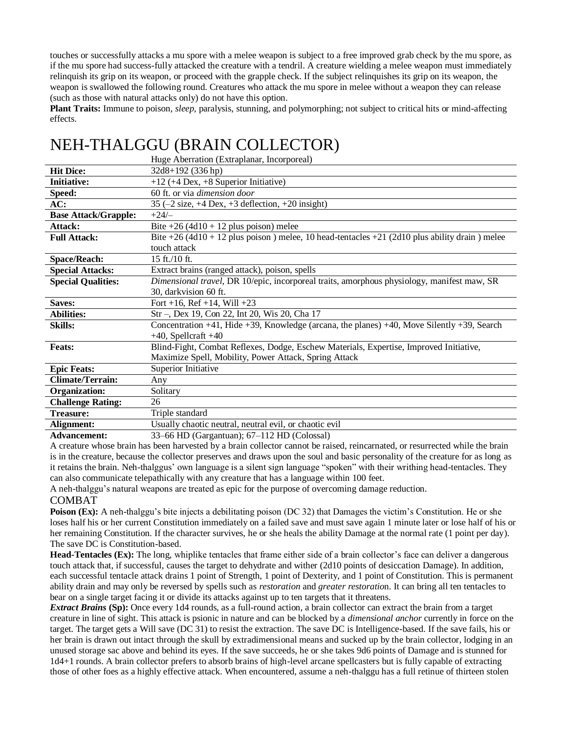touches or successfully attacks a mu spore with a melee weapon is subject to a free improved grab check by the mu spore, as if the mu spore had success-fully attacked the creature with a tendril. A creature wielding a melee weapon must immediately relinquish its grip on its weapon, or proceed with the grapple check. If the subject relinquishes its grip on its weapon, the weapon is swallowed the following round. Creatures who attack the mu spore in melee without a weapon they can release (such as those with natural attacks only) do not have this option.

**Plant Traits:** Immune to poison, *sleep,* paralysis, stunning, and polymorphing; not subject to critical hits or mind-affecting effects.

# NEH-THALGGU (BRAIN COLLECTOR)

|                             | Huge Aberration (Extraplanar, Incorporeal)                                                          |
|-----------------------------|-----------------------------------------------------------------------------------------------------|
| <b>Hit Dice:</b>            | 32d8+192 (336 hp)                                                                                   |
| <b>Initiative:</b>          | $+12$ (+4 Dex, +8 Superior Initiative)                                                              |
| Speed:                      | 60 ft. or via <i>dimension door</i>                                                                 |
| AC:                         | 35 $(-2 \text{ size}, +4 \text{ Dev}, +3 \text{ deflection}, +20 \text{ insight})$                  |
| <b>Base Attack/Grapple:</b> | $+24/$                                                                                              |
| Attack:                     | Bite $+26$ (4d10 + 12 plus poison) melee                                                            |
| <b>Full Attack:</b>         | Bite +26 $(4d10 + 12)$ plus poison) melee, 10 head-tentacles +21 $(2d10)$ plus ability drain) melee |
|                             | touch attack                                                                                        |
| <b>Space/Reach:</b>         | $15$ ft./10 ft.                                                                                     |
| <b>Special Attacks:</b>     | Extract brains (ranged attack), poison, spells                                                      |
| <b>Special Qualities:</b>   | Dimensional travel, DR 10/epic, incorporeal traits, amorphous physiology, manifest maw, SR          |
|                             | 30, darkvision 60 ft.                                                                               |
| Saves:                      | Fort +16, Ref +14, Will +23                                                                         |
| <b>Abilities:</b>           | Str –, Dex 19, Con 22, Int 20, Wis 20, Cha 17                                                       |
| <b>Skills:</b>              | Concentration +41, Hide +39, Knowledge (arcana, the planes) +40, Move Silently +39, Search          |
|                             | $+40$ , Spellcraft $+40$                                                                            |
|                             |                                                                                                     |
| <b>Feats:</b>               | Blind-Fight, Combat Reflexes, Dodge, Eschew Materials, Expertise, Improved Initiative,              |
|                             | Maximize Spell, Mobility, Power Attack, Spring Attack                                               |
| <b>Epic Feats:</b>          | Superior Initiative                                                                                 |
| <b>Climate/Terrain:</b>     | Any                                                                                                 |
| <b>Organization:</b>        | Solitary                                                                                            |
| <b>Challenge Rating:</b>    | 26                                                                                                  |
| <b>Treasure:</b>            | Triple standard                                                                                     |
| Alignment:                  | Usually chaotic neutral, neutral evil, or chaotic evil                                              |

A creature whose brain has been harvested by a brain collector cannot be raised, reincarnated, or resurrected while the brain is in the creature, because the collector preserves and draws upon the soul and basic personality of the creature for as long as it retains the brain. Neh-thalggus' own language is a silent sign language "spoken" with their writhing head-tentacles. They can also communicate telepathically with any creature that has a language within 100 feet.

A neh-thalggu's natural weapons are treated as epic for the purpose of overcoming damage reduction.

### COMBAT

**Poison (Ex):** A neh-thalggu's bite injects a debilitating poison (DC 32) that Damages the victim's Constitution. He or she loses half his or her current Constitution immediately on a failed save and must save again 1 minute later or lose half of his or her remaining Constitution. If the character survives, he or she heals the ability Damage at the normal rate (1 point per day). The save DC is Constitution-based.

**Head-Tentacles (Ex):** The long, whiplike tentacles that frame either side of a brain collector's face can deliver a dangerous touch attack that, if successful, causes the target to dehydrate and wither (2d10 points of desiccation Damage). In addition, each successful tentacle attack drains 1 point of Strength, 1 point of Dexterity, and 1 point of Constitution. This is permanent ability drain and may only be reversed by spells such as *restoration* and *greater restoratio*n. It can bring all ten tentacles to bear on a single target facing it or divide its attacks against up to ten targets that it threatens.

*Extract Brains* **(Sp):** Once every 1d4 rounds, as a full-round action, a brain collector can extract the brain from a target creature in line of sight. This attack is psionic in nature and can be blocked by a *dimensional anchor* currently in force on the target. The target gets a Will save (DC 31) to resist the extraction. The save DC is Intelligence-based. If the save fails, his or her brain is drawn out intact through the skull by extradimensional means and sucked up by the brain collector, lodging in an unused storage sac above and behind its eyes. If the save succeeds, he or she takes 9d6 points of Damage and is stunned for 1d4+1 rounds. A brain collector prefers to absorb brains of high-level arcane spellcasters but is fully capable of extracting those of other foes as a highly effective attack. When encountered, assume a neh-thalggu has a full retinue of thirteen stolen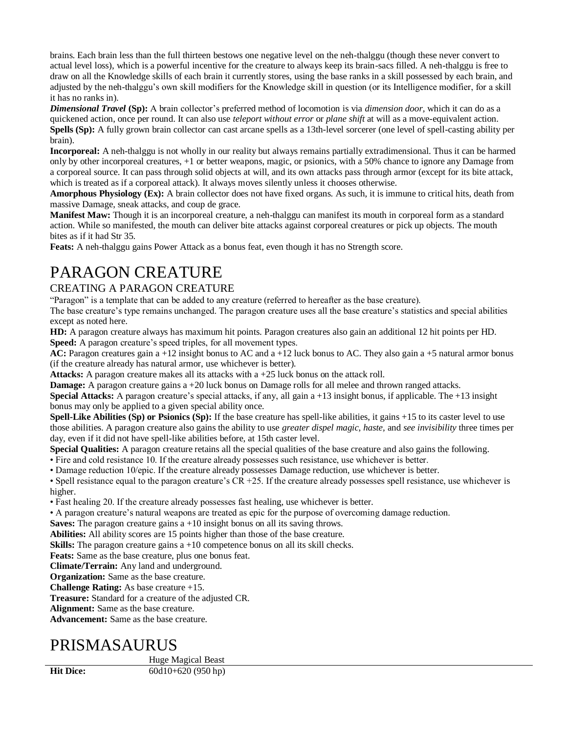brains. Each brain less than the full thirteen bestows one negative level on the neh-thalggu (though these never convert to actual level loss), which is a powerful incentive for the creature to always keep its brain-sacs filled. A neh-thalggu is free to draw on all the Knowledge skills of each brain it currently stores, using the base ranks in a skill possessed by each brain, and adjusted by the neh-thalggu's own skill modifiers for the Knowledge skill in question (or its Intelligence modifier, for a skill it has no ranks in).

*Dimensional Travel* **(Sp):** A brain collector's preferred method of locomotion is via *dimension door,* which it can do as a quickened action, once per round. It can also use *teleport without error* or *plane shift* at will as a move-equivalent action. **Spells (Sp):** A fully grown brain collector can cast arcane spells as a 13th-level sorcerer (one level of spell-casting ability per brain).

**Incorporeal:** A neh-thalggu is not wholly in our reality but always remains partially extradimensional. Thus it can be harmed only by other incorporeal creatures, +1 or better weapons, magic, or psionics, with a 50% chance to ignore any Damage from a corporeal source. It can pass through solid objects at will, and its own attacks pass through armor (except for its bite attack, which is treated as if a corporeal attack). It always moves silently unless it chooses otherwise.

**Amorphous Physiology (Ex):** A brain collector does not have fixed organs. As such, it is immune to critical hits, death from massive Damage, sneak attacks, and coup de grace.

**Manifest Maw:** Though it is an incorporeal creature, a neh-thalggu can manifest its mouth in corporeal form as a standard action. While so manifested, the mouth can deliver bite attacks against corporeal creatures or pick up objects. The mouth bites as if it had Str 35.

**Feats:** A neh-thalggu gains Power Attack as a bonus feat, even though it has no Strength score.

# PARAGON CREATURE

### CREATING A PARAGON CREATURE

"Paragon" is a template that can be added to any creature (referred to hereafter as the base creature).

The base creature's type remains unchanged. The paragon creature uses all the base creature's statistics and special abilities except as noted here.

**HD:** A paragon creature always has maximum hit points. Paragon creatures also gain an additional 12 hit points per HD. **Speed:** A paragon creature's speed triples, for all movement types.

**AC:** Paragon creatures gain a +12 insight bonus to AC and a +12 luck bonus to AC. They also gain a +5 natural armor bonus (if the creature already has natural armor, use whichever is better).

**Attacks:** A paragon creature makes all its attacks with a +25 luck bonus on the attack roll.

**Damage:** A paragon creature gains a +20 luck bonus on Damage rolls for all melee and thrown ranged attacks.

**Special Attacks:** A paragon creature's special attacks, if any, all gain a +13 insight bonus, if applicable. The +13 insight bonus may only be applied to a given special ability once.

**Spell-Like Abilities (Sp) or Psionics (Sp):** If the base creature has spell-like abilities, it gains +15 to its caster level to use those abilities. A paragon creature also gains the ability to use *greater dispel magic, haste,* and *see invisibility* three times per day, even if it did not have spell-like abilities before, at 15th caster level.

**Special Qualities:** A paragon creature retains all the special qualities of the base creature and also gains the following.

• Fire and cold resistance 10. If the creature already possesses such resistance, use whichever is better.

• Damage reduction 10/epic. If the creature already possesses Damage reduction, use whichever is better.

• Spell resistance equal to the paragon creature's CR +25. If the creature already possesses spell resistance, use whichever is higher.

• Fast healing 20. If the creature already possesses fast healing, use whichever is better.

• A paragon creature's natural weapons are treated as epic for the purpose of overcoming damage reduction.

**Saves:** The paragon creature gains a +10 insight bonus on all its saving throws.

**Abilities:** All ability scores are 15 points higher than those of the base creature.

**Skills:** The paragon creature gains a +10 competence bonus on all its skill checks.

**Feats:** Same as the base creature, plus one bonus feat.

**Climate/Terrain:** Any land and underground.

**Organization:** Same as the base creature.

**Challenge Rating:** As base creature +15.

**Treasure:** Standard for a creature of the adjusted CR.

**Alignment:** Same as the base creature.

**Advancement:** Same as the base creature.

# PRISMASAURUS

Huge Magical Beast

**Hit Dice:** 60d10+620 (950 hp)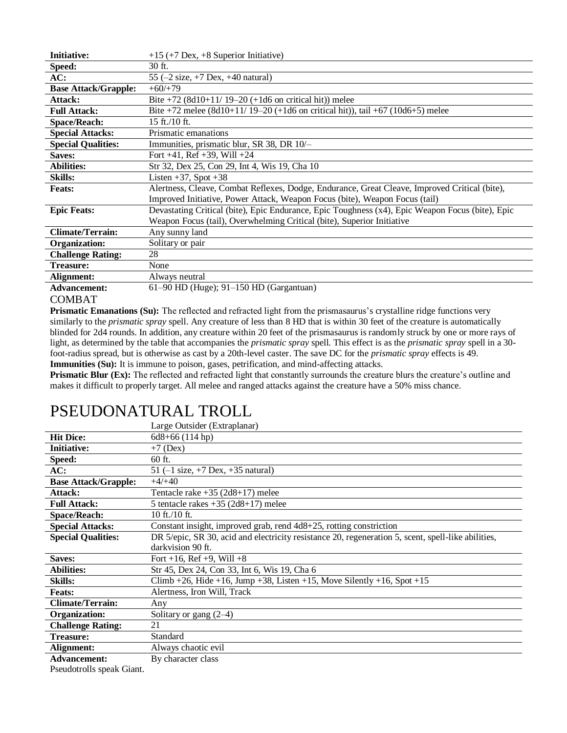| <b>Initiative:</b>          | $+15$ (+7 Dex, +8 Superior Initiative)                                                           |
|-----------------------------|--------------------------------------------------------------------------------------------------|
| Speed:                      | 30 ft.                                                                                           |
| AC:                         | 55 $(-2 \text{ size}, +7 \text{ Dev}, +40 \text{ natural})$                                      |
| <b>Base Attack/Grapple:</b> | $+60/+79$                                                                                        |
| Attack:                     | Bite +72 $(8d10+11/19-20)$ (+1d6 on critical hit)) melee                                         |
| <b>Full Attack:</b>         | Bite +72 melee $(8d10+11/19-20$ (+1d6 on critical hit)), tail +67 (10d6+5) melee                 |
| <b>Space/Reach:</b>         | $15$ ft./10 ft.                                                                                  |
| <b>Special Attacks:</b>     | Prismatic emanations                                                                             |
| <b>Special Qualities:</b>   | Immunities, prismatic blur, SR 38, DR 10/-                                                       |
| Saves:                      | Fort $+41$ , Ref $+39$ , Will $+24$                                                              |
| <b>Abilities:</b>           | Str 32, Dex 25, Con 29, Int 4, Wis 19, Cha 10                                                    |
| <b>Skills:</b>              | Listen $+37$ , Spot $+38$                                                                        |
| <b>Feats:</b>               | Alertness, Cleave, Combat Reflexes, Dodge, Endurance, Great Cleave, Improved Critical (bite),    |
|                             | Improved Initiative, Power Attack, Weapon Focus (bite), Weapon Focus (tail)                      |
| <b>Epic Feats:</b>          | Devastating Critical (bite), Epic Endurance, Epic Toughness (x4), Epic Weapon Focus (bite), Epic |
|                             | Weapon Focus (tail), Overwhelming Critical (bite), Superior Initiative                           |
| <b>Climate/Terrain:</b>     | Any sunny land                                                                                   |
| Organization:               | Solitary or pair                                                                                 |
| <b>Challenge Rating:</b>    | 28                                                                                               |
| <b>Treasure:</b>            | None                                                                                             |
| Alignment:                  | Always neutral                                                                                   |
| <b>Advancement:</b>         | $61-90$ HD (Huge); $91-150$ HD (Gargantuan)                                                      |

### COMBAT

**Prismatic Emanations (Su):** The reflected and refracted light from the prismasaurus's crystalline ridge functions very similarly to the *prismatic spray* spell. Any creature of less than 8 HD that is within 30 feet of the creature is automatically blinded for 2d4 rounds. In addition, any creature within 20 feet of the prismasaurus is randomly struck by one or more rays of light, as determined by the table that accompanies the *prismatic spray* spell*.* This effect is as the *prismatic spray* spell in a 30 foot-radius spread, but is otherwise as cast by a 20th-level caster. The save DC for the *prismatic spray* effects is 49. **Immunities (Su):** It is immune to poison, gases, petrification, and mind-affecting attacks.

**Prismatic Blur (Ex):** The reflected and refracted light that constantly surrounds the creature blurs the creature's outline and makes it difficult to properly target. All melee and ranged attacks against the creature have a 50% miss chance.

# PSEUDONATURAL TROLL

|                             | Large Outsider (Extraplanar)                                                                       |
|-----------------------------|----------------------------------------------------------------------------------------------------|
| <b>Hit Dice:</b>            | $6d8+66(114 hp)$                                                                                   |
| <b>Initiative:</b>          | $+7$ (Dex)                                                                                         |
| Speed:                      | 60 ft.                                                                                             |
| AC:                         | 51 $(-1 \text{ size}, +7 \text{ Dev}, +35 \text{ natural})$                                        |
| <b>Base Attack/Grapple:</b> | $+4/+40$                                                                                           |
| Attack:                     | Tentacle rake $+35$ (2d8+17) melee                                                                 |
| <b>Full Attack:</b>         | 5 tentacle rakes $+35$ (2d8+17) melee                                                              |
| <b>Space/Reach:</b>         | 10 ft./10 ft.                                                                                      |
| <b>Special Attacks:</b>     | Constant insight, improved grab, rend 4d8+25, rotting constriction                                 |
| <b>Special Qualities:</b>   | DR 5/epic, SR 30, acid and electricity resistance 20, regeneration 5, scent, spell-like abilities, |
|                             | darkvision 90 ft.                                                                                  |
| Saves:                      | Fort +16, Ref +9, Will +8                                                                          |
| <b>Abilities:</b>           | Str 45, Dex 24, Con 33, Int 6, Wis 19, Cha 6                                                       |
| <b>Skills:</b>              | Climb +26, Hide +16, Jump +38, Listen +15, Move Silently +16, Spot +15                             |
| <b>Feats:</b>               | Alertness, Iron Will, Track                                                                        |
| <b>Climate/Terrain:</b>     | Any                                                                                                |
| Organization:               | Solitary or gang $(2-4)$                                                                           |
| <b>Challenge Rating:</b>    | 21                                                                                                 |
| <b>Treasure:</b>            | Standard                                                                                           |
| Alignment:                  | Always chaotic evil                                                                                |
| <b>Advancement:</b>         | By character class                                                                                 |
| Pseudotrolls speak Giant    |                                                                                                    |

Pseudotrolls speak Giant.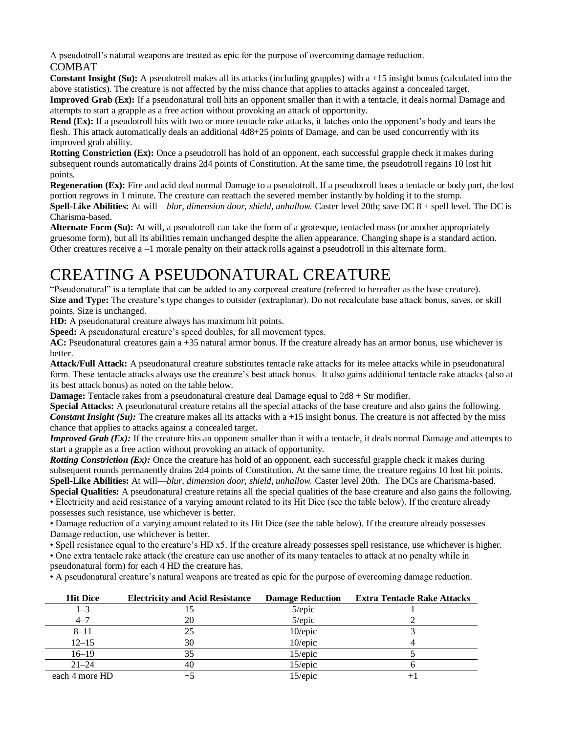A pseudotroll's natural weapons are treated as epic for the purpose of overcoming damage reduction.

COMBAT

**Constant Insight (Su):** A pseudotroll makes all its attacks (including grapples) with a +15 insight bonus (calculated into the above statistics). The creature is not affected by the miss chance that applies to attacks against a concealed target. **Improved Grab (Ex):** If a pseudonatural troll hits an opponent smaller than it with a tentacle, it deals normal Damage and attempts to start a grapple as a free action without provoking an attack of opportunity.

**Rend (Ex):** If a pseudotroll hits with two or more tentacle rake attacks, it latches onto the opponent's body and tears the flesh. This attack automatically deals an additional 4d8+25 points of Damage, and can be used concurrently with its improved grab ability.

**Rotting Constriction (Ex):** Once a pseudotroll has hold of an opponent, each successful grapple check it makes during subsequent rounds automatically drains 2d4 points of Constitution. At the same time, the pseudotroll regains 10 lost hit points.

**Regeneration (Ex):** Fire and acid deal normal Damage to a pseudotroll. If a pseudotroll loses a tentacle or body part, the lost portion regrows in 1 minute. The creature can reattach the severed member instantly by holding it to the stump. **Spell-Like Abilities:** At will—*blur, dimension door, shield, unhallow.* Caster level 20th; save DC 8 + spell level. The DC is

Charisma-based. **Alternate Form (Su):** At will, a pseudotroll can take the form of a grotesque, tentacled mass (or another appropriately gruesome form), but all its abilities remain unchanged despite the alien appearance. Changing shape is a standard action.

Other creatures receive a –1 morale penalty on their attack rolls against a pseudotroll in this alternate form.

# CREATING A PSEUDONATURAL CREATURE

"Pseudonatural" is a template that can be added to any corporeal creature (referred to hereafter as the base creature). **Size and Type:** The creature's type changes to outsider (extraplanar). Do not recalculate base attack bonus, saves, or skill points. Size is unchanged.

**HD:** A pseudonatural creature always has maximum hit points.

**Speed:** A pseudonatural creature's speed doubles, for all movement types.

**AC:** Pseudonatural creatures gain a +35 natural armor bonus. If the creature already has an armor bonus, use whichever is better.

**Attack/Full Attack:** A pseudonatural creature substitutes tentacle rake attacks for its melee attacks while in pseudonatural form. These tentacle attacks always use the creature's best attack bonus. It also gains additional tentacle rake attacks (also at its best attack bonus) as noted on the table below.

**Damage:** Tentacle rakes from a pseudonatural creature deal Damage equal to 2d8 + Str modifier.

**Special Attacks:** A pseudonatural creature retains all the special attacks of the base creature and also gains the following. *Constant Insight (Su):* The creature makes all its attacks with a +15 insight bonus. The creature is not affected by the miss chance that applies to attacks against a concealed target.

*Improved Grab (Ex):* If the creature hits an opponent smaller than it with a tentacle, it deals normal Damage and attempts to start a grapple as a free action without provoking an attack of opportunity.

*Rotting Constriction (Ex):* Once the creature has hold of an opponent, each successful grapple check it makes during subsequent rounds permanently drains 2d4 points of Constitution. At the same time, the creature regains 10 lost hit points. **Spell-Like Abilities:** At will—*blur, dimension door, shield, unhallow.* Caster level 20th. The DCs are Charisma-based. **Special Qualities:** A pseudonatural creature retains all the special qualities of the base creature and also gains the following. • Electricity and acid resistance of a varying amount related to its Hit Dice (see the table below). If the creature already possesses such resistance, use whichever is better.

• Damage reduction of a varying amount related to its Hit Dice (see the table below). If the creature already possesses Damage reduction, use whichever is better.

• Spell resistance equal to the creature's HD x5. If the creature already possesses spell resistance, use whichever is higher.

• One extra tentacle rake attack (the creature can use another of its many tentacles to attack at no penalty while in

pseudonatural form) for each 4 HD the creature has.

• A pseudonatural creature's natural weapons are treated as epic for the purpose of overcoming damage reduction.

| <b>Hit Dice</b> | <b>Electricity and Acid Resistance</b> | <b>Damage Reduction</b> | <b>Extra Tentacle Rake Attacks</b> |
|-----------------|----------------------------------------|-------------------------|------------------------------------|
| 1–3             |                                        | $5$ /epic               |                                    |
| $4 - 7$         | 20                                     | 5/epic                  |                                    |
| $8 - 11$        |                                        | 10/epic                 |                                    |
| $12 - 15$       | 30                                     | $10$ /epic              |                                    |
| $16 - 19$       |                                        | 15/epic                 |                                    |
| $21 - 24$       | 40                                     | $15$ /epic              |                                    |
| each 4 more HD  |                                        | 15/epic                 |                                    |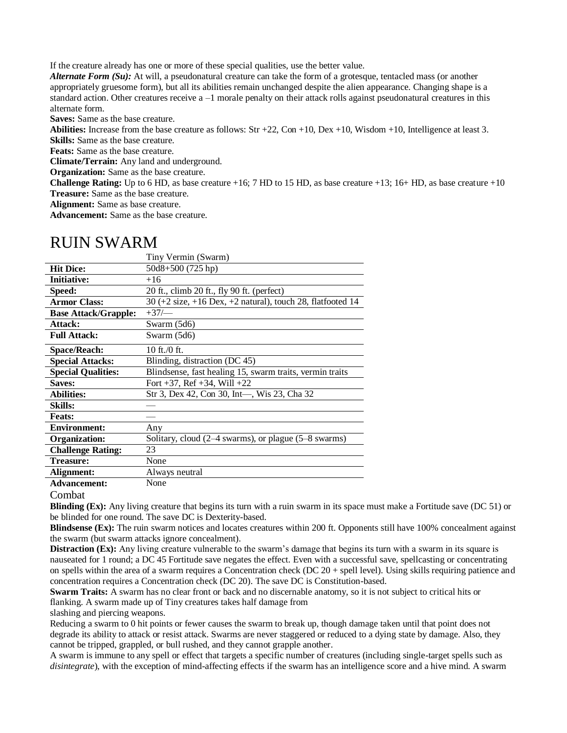If the creature already has one or more of these special qualities, use the better value.

*Alternate Form (Su):* At will, a pseudonatural creature can take the form of a grotesque, tentacled mass (or another appropriately gruesome form), but all its abilities remain unchanged despite the alien appearance. Changing shape is a standard action. Other creatures receive a –1 morale penalty on their attack rolls against pseudonatural creatures in this alternate form.

**Saves:** Same as the base creature.

**Abilities:** Increase from the base creature as follows: Str +22, Con +10, Dex +10, Wisdom +10, Intelligence at least 3.

**Skills:** Same as the base creature.

**Feats:** Same as the base creature.

**Climate/Terrain:** Any land and underground.

**Organization:** Same as the base creature.

**Challenge Rating:** Up to 6 HD, as base creature  $+16$ ; 7 HD to 15 HD, as base creature  $+13$ ; 16+ HD, as base creature  $+10$ **Treasure:** Same as the base creature.

**Alignment:** Same as base creature.

**Advancement:** Same as the base creature.

### RUIN SWARM

|                             | Tiny Vermin (Swarm)                                                                   |
|-----------------------------|---------------------------------------------------------------------------------------|
| <b>Hit Dice:</b>            | $50d8+500(725 hp)$                                                                    |
| <b>Initiative:</b>          | $+16$                                                                                 |
| Speed:                      | 20 ft., climb 20 ft., fly 90 ft. (perfect)                                            |
| <b>Armor Class:</b>         | $30 (+2 \text{ size}, +16 \text{ Dev}, +2 \text{ natural})$ , touch 28, flatfooted 14 |
| <b>Base Attack/Grapple:</b> | $+37/$                                                                                |
| Attack:                     | Swarm (5d6)                                                                           |
| <b>Full Attack:</b>         | Swarm $(5d6)$                                                                         |
| <b>Space/Reach:</b>         | 10 ft./0 ft.                                                                          |
| <b>Special Attacks:</b>     | Blinding, distraction (DC 45)                                                         |
| <b>Special Qualities:</b>   | Blindsense, fast healing 15, swarm traits, vermin traits                              |
| <b>Saves:</b>               | Fort $+37$ , Ref $+34$ , Will $+22$                                                   |
| <b>Abilities:</b>           | Str 3, Dex 42, Con 30, Int—, Wis 23, Cha 32                                           |
| <b>Skills:</b>              |                                                                                       |
| <b>Feats:</b>               |                                                                                       |
| <b>Environment:</b>         | Any                                                                                   |
| <b>Organization:</b>        | Solitary, cloud (2–4 swarms), or plague (5–8 swarms)                                  |
| <b>Challenge Rating:</b>    | 23                                                                                    |
| <b>Treasure:</b>            | None                                                                                  |
| Alignment:                  | Always neutral                                                                        |
| <b>Advancement:</b>         | None                                                                                  |

Combat

**Blinding (Ex):** Any living creature that begins its turn with a ruin swarm in its space must make a Fortitude save (DC 51) or be blinded for one round. The save DC is Dexterity-based.

**Blindsense (Ex):** The ruin swarm notices and locates creatures within 200 ft. Opponents still have 100% concealment against the swarm (but swarm attacks ignore concealment).

**Distraction (Ex):** Any living creature vulnerable to the swarm's damage that begins its turn with a swarm in its square is nauseated for 1 round; a DC 45 Fortitude save negates the effect. Even with a successful save, spellcasting or concentrating on spells within the area of a swarm requires a Concentration check (DC 20 + spell level). Using skills requiring patience and concentration requires a Concentration check (DC 20). The save DC is Constitution-based.

**Swarm Traits:** A swarm has no clear front or back and no discernable anatomy, so it is not subject to critical hits or flanking. A swarm made up of Tiny creatures takes half damage from

slashing and piercing weapons.

Reducing a swarm to 0 hit points or fewer causes the swarm to break up, though damage taken until that point does not degrade its ability to attack or resist attack. Swarms are never staggered or reduced to a dying state by damage. Also, they cannot be tripped, grappled, or bull rushed, and they cannot grapple another.

A swarm is immune to any spell or effect that targets a specific number of creatures (including single-target spells such as *disintegrate*), with the exception of mind-affecting effects if the swarm has an intelligence score and a hive mind. A swarm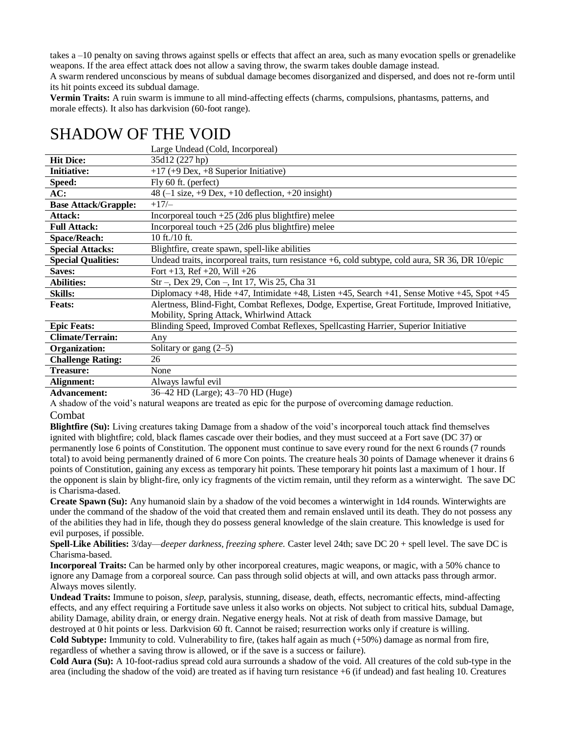takes a –10 penalty on saving throws against spells or effects that affect an area, such as many evocation spells or grenadelike weapons. If the area effect attack does not allow a saving throw, the swarm takes double damage instead.

A swarm rendered unconscious by means of subdual damage becomes disorganized and dispersed, and does not re-form until its hit points exceed its subdual damage.

**Vermin Traits:** A ruin swarm is immune to all mind-affecting effects (charms, compulsions, phantasms, patterns, and morale effects). It also has darkvision (60-foot range).

|                             | Large Undead (Cold, Incorporeal)                                                                  |
|-----------------------------|---------------------------------------------------------------------------------------------------|
| <b>Hit Dice:</b>            | 35d12 (227 hp)                                                                                    |
| <b>Initiative:</b>          | $+17$ (+9 Dex, +8 Superior Initiative)                                                            |
| Speed:                      | Fly 60 ft. (perfect)                                                                              |
| AC:                         | 48 ( $-1$ size, $+9$ Dex, $+10$ deflection, $+20$ insight)                                        |
| <b>Base Attack/Grapple:</b> | $+17/$                                                                                            |
| Attack:                     | Incorporeal touch $+25$ (2d6 plus blightfire) melee                                               |
| <b>Full Attack:</b>         | Incorporeal touch $+25$ (2d6 plus blightfire) melee                                               |
| <b>Space/Reach:</b>         | 10 ft./10 ft.                                                                                     |
| <b>Special Attacks:</b>     | Blightfire, create spawn, spell-like abilities                                                    |
| <b>Special Qualities:</b>   | Undead traits, incorporeal traits, turn resistance +6, cold subtype, cold aura, SR 36, DR 10/epic |
| <b>Saves:</b>               | Fort +13, Ref +20, Will +26                                                                       |
| <b>Abilities:</b>           | Str –, Dex 29, Con –, Int 17, Wis 25, Cha 31                                                      |
| <b>Skills:</b>              | Diplomacy +48, Hide +47, Intimidate +48, Listen +45, Search +41, Sense Motive +45, Spot +45       |
| <b>Feats:</b>               | Alertness, Blind-Fight, Combat Reflexes, Dodge, Expertise, Great Fortitude, Improved Initiative,  |
|                             | Mobility, Spring Attack, Whirlwind Attack                                                         |
| <b>Epic Feats:</b>          | Blinding Speed, Improved Combat Reflexes, Spellcasting Harrier, Superior Initiative               |
| <b>Climate/Terrain:</b>     | Any                                                                                               |
| Organization:               | Solitary or gang $(2-5)$                                                                          |
| <b>Challenge Rating:</b>    | 26                                                                                                |
| <b>Treasure:</b>            | None                                                                                              |
| Alignment:                  | Always lawful evil                                                                                |
| $\lambda$ dramaamaata       | 26 42 HD (Lerga): 42 70 HD (Huga)                                                                 |

## SHADOW OF THE VOID

**Advancement:** 36–42 HD (Large); 43–70 HD (Huge)

A shadow of the void's natural weapons are treated as epic for the purpose of overcoming damage reduction.

#### Combat

**Blightfire (Su):** Living creatures taking Damage from a shadow of the void's incorporeal touch attack find themselves ignited with blightfire; cold, black flames cascade over their bodies, and they must succeed at a Fort save (DC 37) or permanently lose 6 points of Constitution. The opponent must continue to save every round for the next 6 rounds (7 rounds total) to avoid being permanently drained of 6 more Con points. The creature heals 30 points of Damage whenever it drains 6 points of Constitution, gaining any excess as temporary hit points. These temporary hit points last a maximum of 1 hour. If the opponent is slain by blight-fire, only icy fragments of the victim remain, until they reform as a winterwight. The save DC is Charisma-dased.

**Create Spawn (Su):** Any humanoid slain by a shadow of the void becomes a winterwight in 1d4 rounds. Winterwights are under the command of the shadow of the void that created them and remain enslaved until its death. They do not possess any of the abilities they had in life, though they do possess general knowledge of the slain creature. This knowledge is used for evil purposes, if possible.

**Spell-Like Abilities:** 3/day—*deeper darkness, freezing sphere.* Caster level 24th; save DC 20 + spell level. The save DC is Charisma-based.

**Incorporeal Traits:** Can be harmed only by other incorporeal creatures, magic weapons, or magic, with a 50% chance to ignore any Damage from a corporeal source. Can pass through solid objects at will, and own attacks pass through armor. Always moves silently.

**Undead Traits:** Immune to poison, *sleep,* paralysis, stunning, disease, death, effects, necromantic effects, mind-affecting effects, and any effect requiring a Fortitude save unless it also works on objects. Not subject to critical hits, subdual Damage, ability Damage, ability drain, or energy drain. Negative energy heals. Not at risk of death from massive Damage, but destroyed at 0 hit points or less. Darkvision 60 ft. Cannot be raised; resurrection works only if creature is willing. **Cold Subtype:** Immunity to cold. Vulnerability to fire, (takes half again as much (+50%) damage as normal from fire,

regardless of whether a saving throw is allowed, or if the save is a success or failure).

**Cold Aura (Su):** A 10-foot-radius spread cold aura surrounds a shadow of the void. All creatures of the cold sub-type in the area (including the shadow of the void) are treated as if having turn resistance +6 (if undead) and fast healing 10. Creatures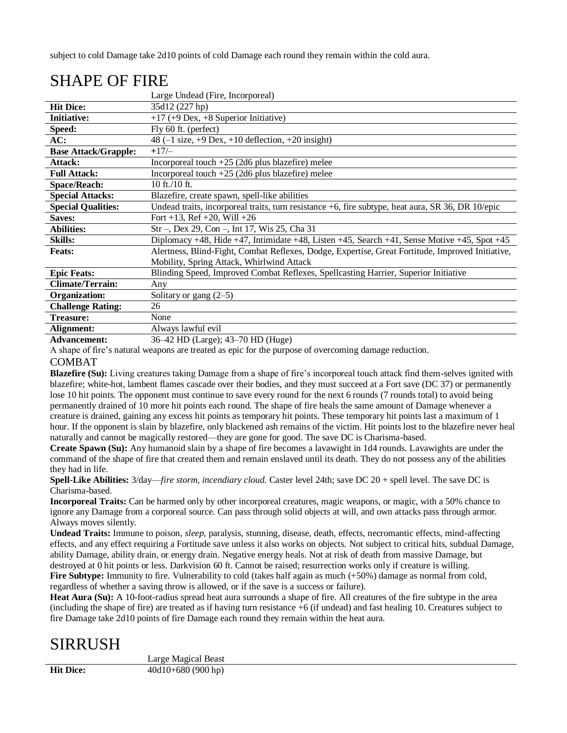subject to cold Damage take 2d10 points of cold Damage each round they remain within the cold aura.

|                             | Large Undead (Fire, Incorporeal)                                                                  |
|-----------------------------|---------------------------------------------------------------------------------------------------|
| <b>Hit Dice:</b>            | 35d12 (227 hp)                                                                                    |
| <b>Initiative:</b>          | $+17$ (+9 Dex, +8 Superior Initiative)                                                            |
| Speed:                      | Fly 60 ft. (perfect)                                                                              |
| AC:                         | 48 $(-1 \text{ size}, +9 \text{ Dex}, +10 \text{ deflection}, +20 \text{ insight})$               |
| <b>Base Attack/Grapple:</b> | $+17/$                                                                                            |
| Attack:                     | Incorporeal touch $+25$ (2d6 plus blazefire) melee                                                |
| <b>Full Attack:</b>         | Incorporeal touch $+25$ (2d6 plus blazefire) melee                                                |
| <b>Space/Reach:</b>         | 10 ft./10 ft.                                                                                     |
| <b>Special Attacks:</b>     | Blazefire, create spawn, spell-like abilities                                                     |
| <b>Special Qualities:</b>   | Undead traits, incorporeal traits, turn resistance +6, fire subtype, heat aura, SR 36, DR 10/epic |
| Saves:                      | Fort +13, Ref +20, Will +26                                                                       |
| <b>Abilities:</b>           | Str –, Dex 29, Con –, Int 17, Wis 25, Cha 31                                                      |
| <b>Skills:</b>              | Diplomacy +48, Hide +47, Intimidate +48, Listen +45, Search +41, Sense Motive +45, Spot +45       |
| <b>Feats:</b>               | Alertness, Blind-Fight, Combat Reflexes, Dodge, Expertise, Great Fortitude, Improved Initiative,  |
|                             | Mobility, Spring Attack, Whirlwind Attack                                                         |
| <b>Epic Feats:</b>          | Blinding Speed, Improved Combat Reflexes, Spellcasting Harrier, Superior Initiative               |
| <b>Climate/Terrain:</b>     | Any                                                                                               |
| Organization:               | Solitary or gang $(2-5)$                                                                          |
| <b>Challenge Rating:</b>    | 26                                                                                                |
| <b>Treasure:</b>            | None                                                                                              |
| Alignment:                  | Always lawful evil                                                                                |
| <b>Advancement:</b>         | 36–42 HD (Large); 43–70 HD (Huge)                                                                 |

# SHAPE OF FIRE

A shape of fire's natural weapons are treated as epic for the purpose of overcoming damage reduction.

### COMBAT

**Blazefire (Su):** Living creatures taking Damage from a shape of fire's incorporeal touch attack find them-selves ignited with blazefire; white-hot, lambent flames cascade over their bodies, and they must succeed at a Fort save (DC 37) or permanently lose 10 hit points. The opponent must continue to save every round for the next 6 rounds (7 rounds total) to avoid being permanently drained of 10 more hit points each round. The shape of fire heals the same amount of Damage whenever a creature is drained, gaining any excess hit points as temporary hit points. These temporary hit points last a maximum of 1 hour. If the opponent is slain by blazefire, only blackened ash remains of the victim. Hit points lost to the blazefire never heal naturally and cannot be magically restored—they are gone for good. The save DC is Charisma-based.

**Create Spawn (Su):** Any humanoid slain by a shape of fire becomes a lavawight in 1d4 rounds. Lavawights are under the command of the shape of fire that created them and remain enslaved until its death. They do not possess any of the abilities they had in life.

**Spell-Like Abilities:** 3/day—*fire storm, incendiary cloud.* Caster level 24th; save DC 20 + spell level. The save DC is Charisma-based.

**Incorporeal Traits:** Can be harmed only by other incorporeal creatures, magic weapons, or magic, with a 50% chance to ignore any Damage from a corporeal source. Can pass through solid objects at will, and own attacks pass through armor. Always moves silently.

**Undead Traits:** Immune to poison, *sleep,* paralysis, stunning, disease, death, effects, necromantic effects, mind-affecting effects, and any effect requiring a Fortitude save unless it also works on objects. Not subject to critical hits, subdual Damage, ability Damage, ability drain, or energy drain. Negative energy heals. Not at risk of death from massive Damage, but destroyed at 0 hit points or less. Darkvision 60 ft. Cannot be raised; resurrection works only if creature is willing. Fire Subtype: Immunity to fire. Vulnerability to cold (takes half again as much  $(+50%)$  damage as normal from cold, regardless of whether a saving throw is allowed, or if the save is a success or failure).

**Heat Aura (Su):** A 10-foot-radius spread heat aura surrounds a shape of fire. All creatures of the fire subtype in the area (including the shape of fire) are treated as if having turn resistance +6 (if undead) and fast healing 10. Creatures subject to fire Damage take 2d10 points of fire Damage each round they remain within the heat aura.

# SIRRUSH

Large Magical Beast **Hit Dice:** 40d10+680 (900 hp)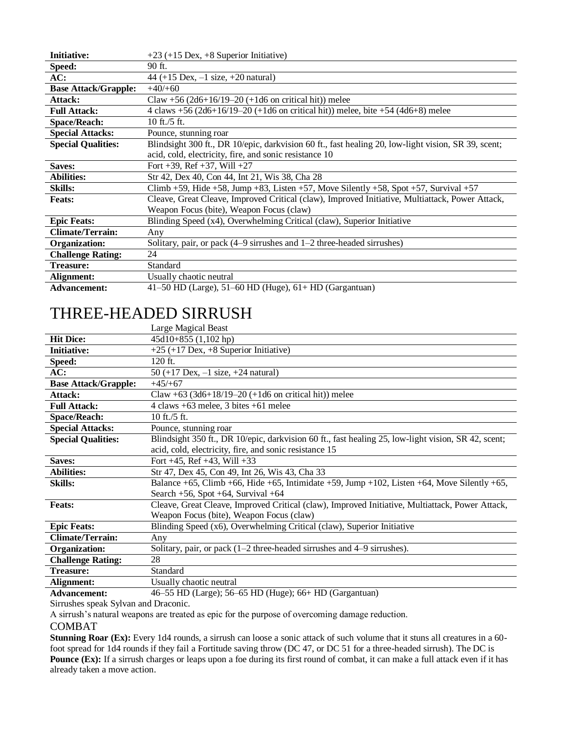| <b>Initiative:</b>          | $+23$ (+15 Dex, +8 Superior Initiative)                                                             |
|-----------------------------|-----------------------------------------------------------------------------------------------------|
| Speed:                      | 90 ft.                                                                                              |
| AC:                         | 44 (+15 Dex, $-1$ size, +20 natural)                                                                |
| <b>Base Attack/Grapple:</b> | $+40/+60$                                                                                           |
| Attack:                     | Claw +56 $(2d6+16/19-20 +1d6)$ on critical hit) melee                                               |
| <b>Full Attack:</b>         | 4 claws +56 (2d6+16/19–20 (+1d6 on critical hit)) melee, bite +54 (4d6+8) melee                     |
| <b>Space/Reach:</b>         | 10 ft./5 ft.                                                                                        |
| <b>Special Attacks:</b>     | Pounce, stunning roar                                                                               |
| <b>Special Qualities:</b>   | Blindsight 300 ft., DR 10/epic, darkvision 60 ft., fast healing 20, low-light vision, SR 39, scent; |
|                             | acid, cold, electricity, fire, and sonic resistance 10                                              |
| Saves:                      | Fort +39, Ref +37, Will +27                                                                         |
| <b>Abilities:</b>           | Str 42, Dex 40, Con 44, Int 21, Wis 38, Cha 28                                                      |
| <b>Skills:</b>              | Climb +59, Hide +58, Jump +83, Listen +57, Move Silently +58, Spot +57, Survival +57                |
| <b>Feats:</b>               | Cleave, Great Cleave, Improved Critical (claw), Improved Initiative, Multiattack, Power Attack,     |
|                             | Weapon Focus (bite), Weapon Focus (claw)                                                            |
| <b>Epic Feats:</b>          | Blinding Speed (x4), Overwhelming Critical (claw), Superior Initiative                              |
| <b>Climate/Terrain:</b>     | Any                                                                                                 |
| Organization:               | Solitary, pair, or pack $(4-9$ sirrushes and $1-2$ three-headed sirrushes)                          |
| <b>Challenge Rating:</b>    | 24                                                                                                  |
| <b>Treasure:</b>            | Standard                                                                                            |
| Alignment:                  | Usually chaotic neutral                                                                             |
| <b>Advancement:</b>         | $41-50$ HD (Large), $51-60$ HD (Huge), $61+$ HD (Gargantuan)                                        |

# THREE-HEADED SIRRUSH

|                             | Large Magical Beast                                                                                 |
|-----------------------------|-----------------------------------------------------------------------------------------------------|
| <b>Hit Dice:</b>            | $45d10+855$ $(1,102$ hp)                                                                            |
| <b>Initiative:</b>          | $+25$ (+17 Dex, +8 Superior Initiative)                                                             |
| Speed:                      | 120 ft.                                                                                             |
| AC:                         | 50 (+17 Dex, $-1$ size, +24 natural)                                                                |
| <b>Base Attack/Grapple:</b> | $+45/+67$                                                                                           |
| Attack:                     | Claw +63 (3d6+18/19–20 (+1d6 on critical hit)) melee                                                |
| <b>Full Attack:</b>         | 4 claws $+63$ melee, 3 bites $+61$ melee                                                            |
| <b>Space/Reach:</b>         | 10 ft./5 ft.                                                                                        |
| <b>Special Attacks:</b>     | Pounce, stunning roar                                                                               |
| <b>Special Qualities:</b>   | Blindsight 350 ft., DR 10/epic, darkvision 60 ft., fast healing 25, low-light vision, SR 42, scent; |
|                             | acid, cold, electricity, fire, and sonic resistance 15                                              |
| Saves:                      | Fort $+45$ , Ref $+43$ , Will $+33$                                                                 |
| Abilities:                  | Str 47, Dex 45, Con 49, Int 26, Wis 43, Cha 33                                                      |
| <b>Skills:</b>              | Balance +65, Climb +66, Hide +65, Intimidate +59, Jump +102, Listen +64, Move Silently +65,         |
|                             | Search $+56$ , Spot $+64$ , Survival $+64$                                                          |
| <b>Feats:</b>               | Cleave, Great Cleave, Improved Critical (claw), Improved Initiative, Multiattack, Power Attack,     |
|                             | Weapon Focus (bite), Weapon Focus (claw)                                                            |
| <b>Epic Feats:</b>          | Blinding Speed (x6), Overwhelming Critical (claw), Superior Initiative                              |
| <b>Climate/Terrain:</b>     | Any                                                                                                 |
| Organization:               | Solitary, pair, or pack $(1-2)$ three-headed sirrushes and $4-9$ sirrushes).                        |
| <b>Challenge Rating:</b>    | 28                                                                                                  |
| Treasure:                   | Standard                                                                                            |
| Alignment:                  | Usually chaotic neutral                                                                             |
| Advancements                | $\Delta$ 55 UD (Lorge): 56 65 UD (Hugo): 66 UD (Corganizan)                                         |

**Advancement:** 46–55 HD (Large); 56–65 HD (Huge); 66+ HD (Gargantuan)

Sirrushes speak Sylvan and Draconic.

A sirrush's natural weapons are treated as epic for the purpose of overcoming damage reduction.

### COMBAT

**Stunning Roar (Ex):** Every 1d4 rounds, a sirrush can loose a sonic attack of such volume that it stuns all creatures in a 60 foot spread for 1d4 rounds if they fail a Fortitude saving throw (DC 47, or DC 51 for a three-headed sirrush). The DC is Pounce (Ex): If a sirrush charges or leaps upon a foe during its first round of combat, it can make a full attack even if it has already taken a move action.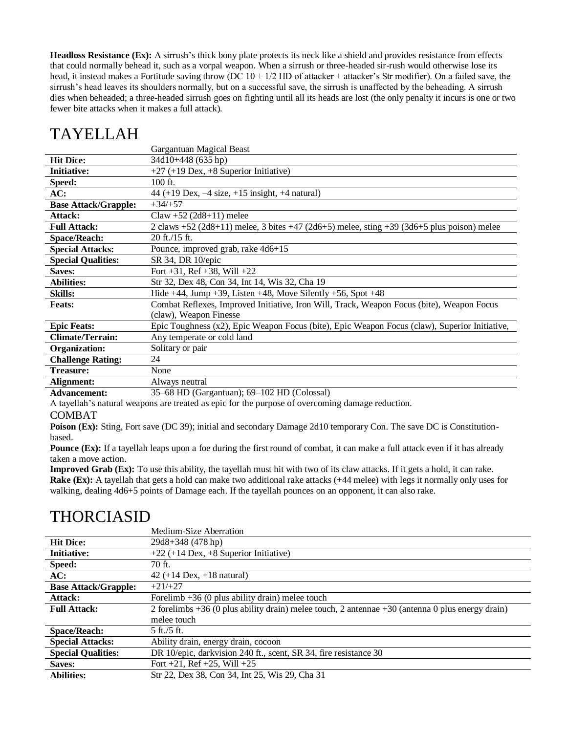**Headloss Resistance (Ex):** A sirrush's thick bony plate protects its neck like a shield and provides resistance from effects that could normally behead it, such as a vorpal weapon. When a sirrush or three-headed sir-rush would otherwise lose its head, it instead makes a Fortitude saving throw (DC  $10 + 1/2$  HD of attacker + attacker's Str modifier). On a failed save, the sirrush's head leaves its shoulders normally, but on a successful save, the sirrush is unaffected by the beheading. A sirrush dies when beheaded; a three-headed sirrush goes on fighting until all its heads are lost (the only penalty it incurs is one or two fewer bite attacks when it makes a full attack).

# TAYELLAH

|                             | Gargantuan Magical Beast                                                                      |
|-----------------------------|-----------------------------------------------------------------------------------------------|
| <b>Hit Dice:</b>            | 34d10+448 (635 hp)                                                                            |
| <b>Initiative:</b>          | $+27 (+19$ Dex, $+8$ Superior Initiative)                                                     |
| Speed:                      | $100$ ft.                                                                                     |
| AC:                         | 44 (+19 Dex, $-4$ size, +15 insight, +4 natural)                                              |
| <b>Base Attack/Grapple:</b> | $+34/+57$                                                                                     |
| Attack:                     | $Claw + 52 (2d8+11)$ melee                                                                    |
| <b>Full Attack:</b>         | 2 claws +52 (2d8+11) melee, 3 bites +47 (2d6+5) melee, sting +39 (3d6+5 plus poison) melee    |
| <b>Space/Reach:</b>         | $20$ ft./15 ft.                                                                               |
| <b>Special Attacks:</b>     | Pounce, improved grab, rake 4d6+15                                                            |
| <b>Special Qualities:</b>   | SR 34, DR 10/epic                                                                             |
| Saves:                      | Fort $+31$ , Ref $+38$ , Will $+22$                                                           |
| <b>Abilities:</b>           | Str 32, Dex 48, Con 34, Int 14, Wis 32, Cha 19                                                |
| <b>Skills:</b>              | Hide $+44$ , Jump $+39$ , Listen $+48$ , Move Silently $+56$ , Spot $+48$                     |
| <b>Feats:</b>               | Combat Reflexes, Improved Initiative, Iron Will, Track, Weapon Focus (bite), Weapon Focus     |
|                             | (claw), Weapon Finesse                                                                        |
| <b>Epic Feats:</b>          | Epic Toughness (x2), Epic Weapon Focus (bite), Epic Weapon Focus (claw), Superior Initiative, |
| Climate/Terrain:            | Any temperate or cold land                                                                    |
| Organization:               | Solitary or pair                                                                              |
| <b>Challenge Rating:</b>    | 24                                                                                            |
| <b>Treasure:</b>            | None                                                                                          |
| Alignment:                  | Always neutral                                                                                |
|                             |                                                                                               |

**Advancement:** 35–68 HD (Gargantuan); 69–102 HD (Colossal)

A tayellah's natural weapons are treated as epic for the purpose of overcoming damage reduction.

#### COMBAT

**Poison (Ex):** Sting, Fort save (DC 39); initial and secondary Damage 2d10 temporary Con. The save DC is Constitutionbased.

**Pounce (Ex):** If a tayellah leaps upon a foe during the first round of combat, it can make a full attack even if it has already taken a move action.

**Improved Grab (Ex):** To use this ability, the tayellah must hit with two of its claw attacks. If it gets a hold, it can rake. **Rake (Ex):** A tayellah that gets a hold can make two additional rake attacks (+44 melee) with legs it normally only uses for walking, dealing 4d6+5 points of Damage each. If the tayellah pounces on an opponent, it can also rake.

### THORCIASID

|                             | Medium-Size Aberration                                                                               |
|-----------------------------|------------------------------------------------------------------------------------------------------|
| <b>Hit Dice:</b>            | $29d8+348(478$ hp)                                                                                   |
| <b>Initiative:</b>          | $+22$ (+14 Dex, +8 Superior Initiative)                                                              |
| Speed:                      | 70 ft.                                                                                               |
| AC:                         | 42 $(+14 \text{ Dev}, +18 \text{ natural})$                                                          |
| <b>Base Attack/Grapple:</b> | $+21/+27$                                                                                            |
| Attack:                     | Forelimb $+36$ (0 plus ability drain) melee touch                                                    |
| <b>Full Attack:</b>         | 2 forelimbs $+36$ (0 plus ability drain) melee touch, 2 antennae $+30$ (antenna 0 plus energy drain) |
|                             | melee touch                                                                                          |
| <b>Space/Reach:</b>         | $5 \text{ ft}$ ./5 ft.                                                                               |
| <b>Special Attacks:</b>     | Ability drain, energy drain, cocoon                                                                  |
| <b>Special Qualities:</b>   | DR 10/epic, darkvision 240 ft., scent, SR 34, fire resistance 30                                     |
| Saves:                      | Fort $+21$ , Ref $+25$ , Will $+25$                                                                  |
| <b>Abilities:</b>           | Str 22, Dex 38, Con 34, Int 25, Wis 29, Cha 31                                                       |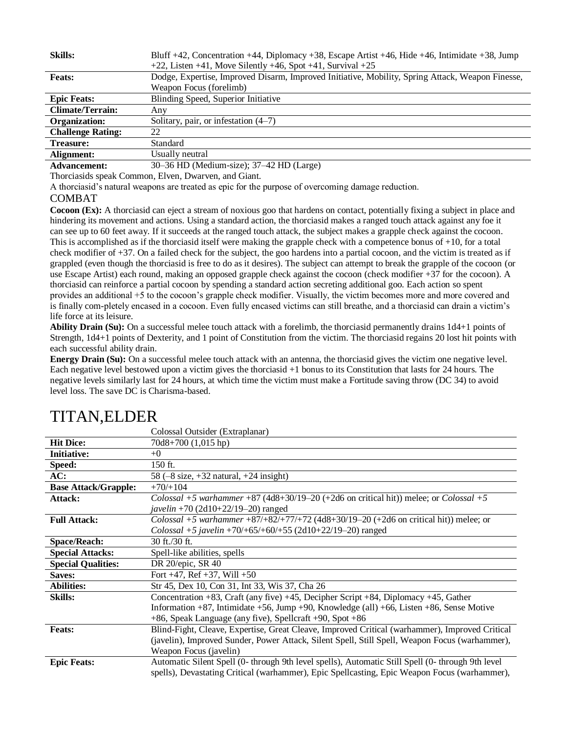| <b>Skills:</b>           | Bluff +42, Concentration +44, Diplomacy +38, Escape Artist +46, Hide +46, Intimidate +38, Jump<br>$+22$ , Listen +41, Move Silently +46, Spot +41, Survival +25 |
|--------------------------|-----------------------------------------------------------------------------------------------------------------------------------------------------------------|
| <b>Feats:</b>            | Dodge, Expertise, Improved Disarm, Improved Initiative, Mobility, Spring Attack, Weapon Finesse,                                                                |
|                          | Weapon Focus (forelimb)                                                                                                                                         |
| <b>Epic Feats:</b>       | Blinding Speed, Superior Initiative                                                                                                                             |
| <b>Climate/Terrain:</b>  | Any                                                                                                                                                             |
| Organization:            | Solitary, pair, or infestation (4–7)                                                                                                                            |
| <b>Challenge Rating:</b> | 22                                                                                                                                                              |
| <b>Treasure:</b>         | Standard                                                                                                                                                        |
| Alignment:               | Usually neutral                                                                                                                                                 |
| <b>Advancement:</b>      | 30–36 HD (Medium-size); 37–42 HD (Large)                                                                                                                        |

Thorciasids speak Common, Elven, Dwarven, and Giant.

A thorciasid's natural weapons are treated as epic for the purpose of overcoming damage reduction.

### COMBAT

**Cocoon (Ex):** A thorciasid can eject a stream of noxious goo that hardens on contact, potentially fixing a subject in place and hindering its movement and actions. Using a standard action, the thorciasid makes a ranged touch attack against any foe it can see up to 60 feet away. If it succeeds at the ranged touch attack, the subject makes a grapple check against the cocoon. This is accomplished as if the thorciasid itself were making the grapple check with a competence bonus of  $+10$ , for a total check modifier of +37. On a failed check for the subject, the goo hardens into a partial cocoon, and the victim is treated as if grappled (even though the thorciasid is free to do as it desires). The subject can attempt to break the grapple of the cocoon (or use Escape Artist) each round, making an opposed grapple check against the cocoon (check modifier +37 for the cocoon). A thorciasid can reinforce a partial cocoon by spending a standard action secreting additional goo. Each action so spent provides an additional +5 to the cocoon's grapple check modifier. Visually, the victim becomes more and more covered and is finally com-pletely encased in a cocoon. Even fully encased victims can still breathe, and a thorciasid can drain a victim's life force at its leisure.

**Ability Drain (Su):** On a successful melee touch attack with a forelimb, the thorciasid permanently drains 1d4+1 points of Strength, 1d4+1 points of Dexterity, and 1 point of Constitution from the victim. The thorciasid regains 20 lost hit points with each successful ability drain.

**Energy Drain (Su):** On a successful melee touch attack with an antenna, the thorciasid gives the victim one negative level. Each negative level bestowed upon a victim gives the thorciasid +1 bonus to its Constitution that lasts for 24 hours. The negative levels similarly last for 24 hours, at which time the victim must make a Fortitude saving throw (DC 34) to avoid level loss. The save DC is Charisma-based.

|                             | Colossal Outsider (Extraplanar)                                                                   |
|-----------------------------|---------------------------------------------------------------------------------------------------|
| <b>Hit Dice:</b>            | $70d8+700(1,015 hp)$                                                                              |
| <b>Initiative:</b>          | $+0$                                                                                              |
| Speed:                      | 150 ft.                                                                                           |
| AC:                         | 58 $(-8 \text{ size}, +32 \text{ natural}, +24 \text{ insight})$                                  |
| <b>Base Attack/Grapple:</b> | $+70/+104$                                                                                        |
| Attack:                     | Colossal +5 warhammer +87 (4d8+30/19-20 (+2d6 on critical hit)) melee; or Colossal +5             |
|                             | javelin +70 (2d10+22/19-20) ranged                                                                |
| <b>Full Attack:</b>         | Colossal +5 warhammer +87/+82/+77/+72 (4d8+30/19-20 (+2d6 on critical hit)) melee; or             |
|                             | Colossal +5 javelin +70/+65/+60/+55 (2d10+22/19-20) ranged                                        |
| <b>Space/Reach:</b>         | $30$ ft./30 ft.                                                                                   |
| <b>Special Attacks:</b>     | Spell-like abilities, spells                                                                      |
| <b>Special Qualities:</b>   | DR 20/epic, SR 40                                                                                 |
| <b>Saves:</b>               | Fort $+47$ , Ref $+37$ , Will $+50$                                                               |
| <b>Abilities:</b>           | Str 45, Dex 10, Con 31, Int 33, Wis 37, Cha 26                                                    |
| <b>Skills:</b>              | Concentration $+83$ , Craft (any five) $+45$ , Decipher Script $+84$ , Diplomacy $+45$ , Gather   |
|                             | Information +87, Intimidate +56, Jump +90, Knowledge (all) +66, Listen +86, Sense Motive          |
|                             | +86, Speak Language (any five), Spellcraft +90, Spot +86                                          |
| <b>Feats:</b>               | Blind-Fight, Cleave, Expertise, Great Cleave, Improved Critical (warhammer), Improved Critical    |
|                             | (javelin), Improved Sunder, Power Attack, Silent Spell, Still Spell, Weapon Focus (warhammer),    |
|                             | Weapon Focus (javelin)                                                                            |
| <b>Epic Feats:</b>          | Automatic Silent Spell (0- through 9th level spells), Automatic Still Spell (0- through 9th level |
|                             | spells), Devastating Critical (warhammer), Epic Spellcasting, Epic Weapon Focus (warhammer),      |

# TITAN,ELDER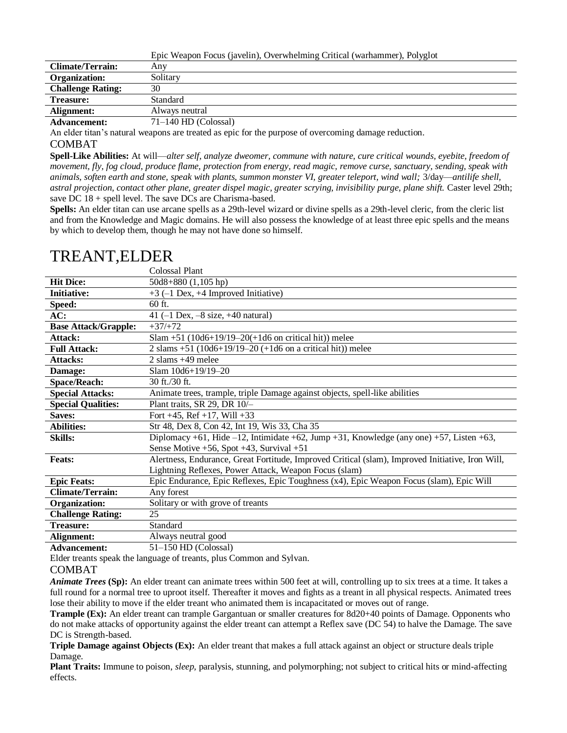|                          | Epic Weapon Focus (javelin), Overwhelming Critical (warhammer), Polyglot |
|--------------------------|--------------------------------------------------------------------------|
| <b>Climate/Terrain:</b>  | Any                                                                      |
| Organization:            | Solitary                                                                 |
| <b>Challenge Rating:</b> | 30                                                                       |
| Treasure:                | Standard                                                                 |
| Alignment:               | Always neutral                                                           |
| <b>Advancement:</b>      | $71-140$ HD (Colossal)                                                   |
|                          |                                                                          |

An elder titan's natural weapons are treated as epic for the purpose of overcoming damage reduction.

#### COMBAT

**Spell-Like Abilities:** At will—*alter self, analyze dweomer, commune with nature, cure critical wounds, eyebite, freedom of movement, fly, fog cloud, produce flame, protection from energy, read magic, remove curse, sanctuary, sending, speak with animals, soften earth and stone, speak with plants, summon monster VI, greater teleport, wind wall;* 3/day—*antilife shell, astral projection, contact other plane, greater dispel magic, greater scrying, invisibility purge, plane shift.* Caster level 29th; save DC 18 + spell level. The save DCs are Charisma-based.

**Spells:** An elder titan can use arcane spells as a 29th-level wizard or divine spells as a 29th-level cleric, from the cleric list and from the Knowledge and Magic domains. He will also possess the knowledge of at least three epic spells and the means by which to develop them, though he may not have done so himself.

|                             | Colossal Plant                                                                                   |
|-----------------------------|--------------------------------------------------------------------------------------------------|
| <b>Hit Dice:</b>            | $50d8+880(1,105 hp)$                                                                             |
| <b>Initiative:</b>          | $+3$ (-1 Dex, $+4$ Improved Initiative)                                                          |
| Speed:                      | 60 ft.                                                                                           |
| AC:                         | 41 $(-1$ Dex, $-8$ size, $+40$ natural)                                                          |
| <b>Base Attack/Grapple:</b> | $+37/+72$                                                                                        |
| Attack:                     | Slam +51 (10d6+19/19-20(+1d6 on critical hit)) melee                                             |
| <b>Full Attack:</b>         | 2 slams +51 (10d6+19/19-20 (+1d6 on a critical hit)) melee                                       |
| <b>Attacks:</b>             | 2 slams $+49$ melee                                                                              |
| Damage:                     | Slam 10d6+19/19-20                                                                               |
| <b>Space/Reach:</b>         | 30 ft./30 ft.                                                                                    |
| <b>Special Attacks:</b>     | Animate trees, trample, triple Damage against objects, spell-like abilities                      |
| <b>Special Qualities:</b>   | Plant traits, SR 29, DR 10/-                                                                     |
| Saves:                      | Fort $+45$ , Ref $+17$ , Will $+33$                                                              |
| <b>Abilities:</b>           | Str 48, Dex 8, Con 42, Int 19, Wis 33, Cha 35                                                    |
| <b>Skills:</b>              | Diplomacy +61, Hide -12, Intimidate +62, Jump +31, Knowledge (any one) +57, Listen +63,          |
|                             | Sense Motive $+56$ , Spot $+43$ , Survival $+51$                                                 |
| <b>Feats:</b>               | Alertness, Endurance, Great Fortitude, Improved Critical (slam), Improved Initiative, Iron Will, |
|                             | Lightning Reflexes, Power Attack, Weapon Focus (slam)                                            |
| <b>Epic Feats:</b>          | Epic Endurance, Epic Reflexes, Epic Toughness (x4), Epic Weapon Focus (slam), Epic Will          |
| <b>Climate/Terrain:</b>     | Any forest                                                                                       |
| <b>Organization:</b>        | Solitary or with grove of treants                                                                |
| <b>Challenge Rating:</b>    | 25                                                                                               |
| <b>Treasure:</b>            | Standard                                                                                         |
| Alignment:                  | Always neutral good                                                                              |
| <b>Advancement:</b>         | $51-150$ HD (Colossal)                                                                           |

### TREANT,ELDER

Elder treants speak the language of treants, plus Common and Sylvan.

#### COMBAT

*Animate Trees* (Sp): An elder treant can animate trees within 500 feet at will, controlling up to six trees at a time. It takes a full round for a normal tree to uproot itself. Thereafter it moves and fights as a treant in all physical respects. Animated trees lose their ability to move if the elder treant who animated them is incapacitated or moves out of range.

**Trample (Ex):** An elder treant can trample Gargantuan or smaller creatures for 8d20+40 points of Damage. Opponents who do not make attacks of opportunity against the elder treant can attempt a Reflex save (DC 54) to halve the Damage. The save DC is Strength-based.

**Triple Damage against Objects (Ex):** An elder treant that makes a full attack against an object or structure deals triple Damage.

**Plant Traits:** Immune to poison, *sleep,* paralysis, stunning, and polymorphing; not subject to critical hits or mind-affecting effects.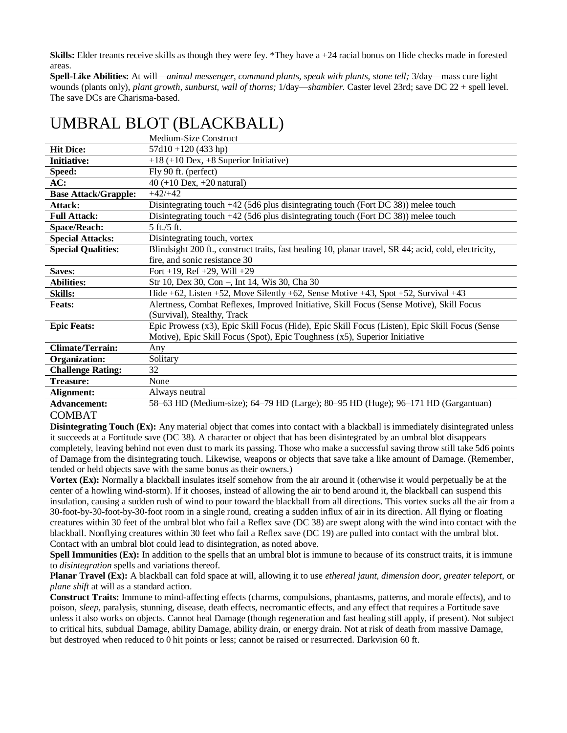**Skills:** Elder treants receive skills as though they were fey. \*They have a +24 racial bonus on Hide checks made in forested areas.

**Spell-Like Abilities:** At will—*animal messenger, command plants, speak with plants, stone tell;* 3/day—mass cure light wounds (plants only), *plant growth, sunburst, wall of thorns;* 1/day—*shambler.* Caster level 23rd; save DC 22 + spell level. The save DCs are Charisma-based.

|                             | Medium-Size Construct                                                                                 |
|-----------------------------|-------------------------------------------------------------------------------------------------------|
| <b>Hit Dice:</b>            | $57d10 + 120(433 hp)$                                                                                 |
| <b>Initiative:</b>          | $+18$ (+10 Dex, +8 Superior Initiative)                                                               |
| Speed:                      | Fly 90 ft. (perfect)                                                                                  |
| AC:                         | $40 (+10$ Dex, $+20$ natural)                                                                         |
| <b>Base Attack/Grapple:</b> | $+42/+42$                                                                                             |
| Attack:                     | Disintegrating touch $+42$ (5d6 plus disintegrating touch (Fort DC 38)) melee touch                   |
| <b>Full Attack:</b>         | Disintegrating touch $+42$ (5d6 plus disintegrating touch (Fort DC 38)) melee touch                   |
| <b>Space/Reach:</b>         | 5 ft./5 ft.                                                                                           |
| <b>Special Attacks:</b>     | Disintegrating touch, vortex                                                                          |
| <b>Special Qualities:</b>   | Blindsight 200 ft., construct traits, fast healing 10, planar travel, SR 44; acid, cold, electricity, |
|                             | fire, and sonic resistance 30                                                                         |
| Saves:                      | Fort +19, Ref +29, Will +29                                                                           |
| <b>Abilities:</b>           | Str 10, Dex 30, Con -, Int 14, Wis 30, Cha 30                                                         |
| <b>Skills:</b>              | Hide $+62$ , Listen $+52$ , Move Silently $+62$ , Sense Motive $+43$ , Spot $+52$ , Survival $+43$    |
| <b>Feats:</b>               | Alertness, Combat Reflexes, Improved Initiative, Skill Focus (Sense Motive), Skill Focus              |
|                             | (Survival), Stealthy, Track                                                                           |
| <b>Epic Feats:</b>          | Epic Prowess (x3), Epic Skill Focus (Hide), Epic Skill Focus (Listen), Epic Skill Focus (Sense        |
|                             | Motive), Epic Skill Focus (Spot), Epic Toughness (x5), Superior Initiative                            |
| <b>Climate/Terrain:</b>     | Any                                                                                                   |
| Organization:               | Solitary                                                                                              |
| <b>Challenge Rating:</b>    | 32                                                                                                    |
| <b>Treasure:</b>            | None                                                                                                  |
| Alignment:                  | Always neutral                                                                                        |
| <b>Advancement:</b>         | 58–63 HD (Medium-size); 64–79 HD (Large); 80–95 HD (Huge); 96–171 HD (Gargantuan)                     |

# UMBRAL BLOT (BLACKBALL)

#### COMBAT

**Disintegrating Touch (Ex):** Any material object that comes into contact with a blackball is immediately disintegrated unless it succeeds at a Fortitude save (DC 38). A character or object that has been disintegrated by an umbral blot disappears completely, leaving behind not even dust to mark its passing. Those who make a successful saving throw still take 5d6 points of Damage from the disintegrating touch. Likewise, weapons or objects that save take a like amount of Damage. (Remember, tended or held objects save with the same bonus as their owners.)

**Vortex (Ex):** Normally a blackball insulates itself somehow from the air around it (otherwise it would perpetually be at the center of a howling wind-storm). If it chooses, instead of allowing the air to bend around it, the blackball can suspend this insulation, causing a sudden rush of wind to pour toward the blackball from all directions. This vortex sucks all the air from a 30-foot-by-30-foot-by-30-foot room in a single round, creating a sudden influx of air in its direction. All flying or floating creatures within 30 feet of the umbral blot who fail a Reflex save (DC 38) are swept along with the wind into contact with the blackball. Nonflying creatures within 30 feet who fail a Reflex save (DC 19) are pulled into contact with the umbral blot. Contact with an umbral blot could lead to disintegration, as noted above.

**Spell Immunities (Ex):** In addition to the spells that an umbral blot is immune to because of its construct traits, it is immune to *disintegration* spells and variations thereof.

**Planar Travel (Ex):** A blackball can fold space at will, allowing it to use *ethereal jaunt, dimension door, greater teleport,* or *plane shift* at will as a standard action.

**Construct Traits:** Immune to mind-affecting effects (charms, compulsions, phantasms, patterns, and morale effects), and to poison, *sleep,* paralysis, stunning, disease, death effects, necromantic effects, and any effect that requires a Fortitude save unless it also works on objects. Cannot heal Damage (though regeneration and fast healing still apply, if present). Not subject to critical hits, subdual Damage, ability Damage, ability drain, or energy drain. Not at risk of death from massive Damage, but destroyed when reduced to 0 hit points or less; cannot be raised or resurrected. Darkvision 60 ft.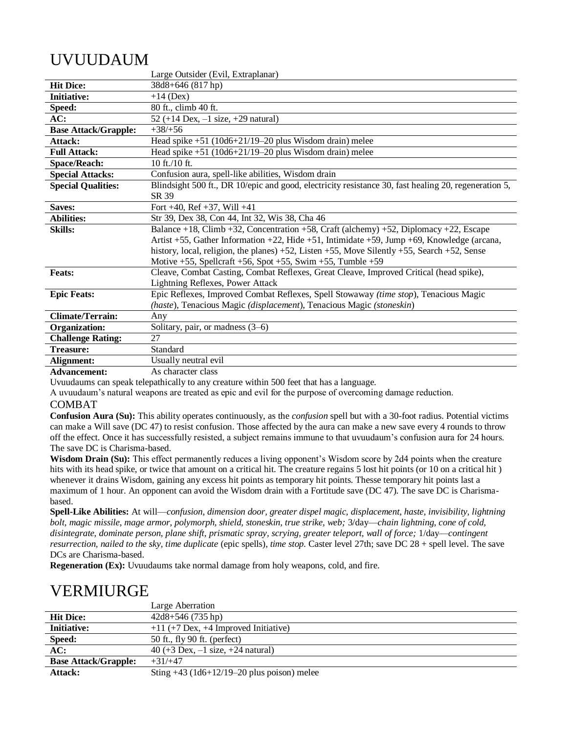# UVUUDAUM

|                             | Large Outsider (Evil, Extraplanar)                                                                      |
|-----------------------------|---------------------------------------------------------------------------------------------------------|
| <b>Hit Dice:</b>            | 38d8+646 (817 hp)                                                                                       |
| <b>Initiative:</b>          | $+14$ (Dex)                                                                                             |
| Speed:                      | 80 ft., climb 40 ft.                                                                                    |
| AC:                         | 52 (+14 Dex, $-1$ size, +29 natural)                                                                    |
| <b>Base Attack/Grapple:</b> | $+38/+56$                                                                                               |
| Attack:                     | Head spike $+51$ (10d6+21/19-20 plus Wisdom drain) melee                                                |
| <b>Full Attack:</b>         | Head spike $+51$ (10d6+21/19-20 plus Wisdom drain) melee                                                |
| <b>Space/Reach:</b>         | 10 ft./10 ft.                                                                                           |
| <b>Special Attacks:</b>     | Confusion aura, spell-like abilities, Wisdom drain                                                      |
| <b>Special Qualities:</b>   | Blindsight 500 ft., DR 10/epic and good, electricity resistance 30, fast healing 20, regeneration 5,    |
|                             | SR 39                                                                                                   |
| Saves:                      | Fort $+40$ , Ref $+37$ , Will $+41$                                                                     |
| <b>Abilities:</b>           | Str 39, Dex 38, Con 44, Int 32, Wis 38, Cha 46                                                          |
| <b>Skills:</b>              | Balance +18, Climb +32, Concentration +58, Craft (alchemy) +52, Diplomacy +22, Escape                   |
|                             | Artist +55, Gather Information +22, Hide +51, Intimidate +59, Jump +69, Knowledge (arcana,              |
|                             | history, local, religion, the planes) $+52$ , Listen $+55$ , Move Silently $+55$ , Search $+52$ , Sense |
|                             | Motive $+55$ , Spellcraft $+56$ , Spot $+55$ , Swim $+55$ , Tumble $+59$                                |
| <b>Feats:</b>               | Cleave, Combat Casting, Combat Reflexes, Great Cleave, Improved Critical (head spike),                  |
|                             | Lightning Reflexes, Power Attack                                                                        |
| <b>Epic Feats:</b>          | Epic Reflexes, Improved Combat Reflexes, Spell Stowaway (time stop), Tenacious Magic                    |
|                             | (haste), Tenacious Magic (displacement), Tenacious Magic (stoneskin)                                    |
| <b>Climate/Terrain:</b>     | Any                                                                                                     |
| <b>Organization:</b>        | Solitary, pair, or madness $(3-6)$                                                                      |
| <b>Challenge Rating:</b>    | 27                                                                                                      |
| <b>Treasure:</b>            | Standard                                                                                                |
| Alignment:                  | Usually neutral evil                                                                                    |
|                             | ممملو مصدمته والمساري                                                                                   |

**Advancement:** As character class

Uvuudaums can speak telepathically to any creature within 500 feet that has a language.

A uvuudaum's natural weapons are treated as epic and evil for the purpose of overcoming damage reduction.

### COMBAT

**Confusion Aura (Su):** This ability operates continuously, as the *confusion* spell but with a 30-foot radius. Potential victims can make a Will save (DC 47) to resist confusion. Those affected by the aura can make a new save every 4 rounds to throw off the effect. Once it has successfully resisted, a subject remains immune to that uvuudaum's confusion aura for 24 hours. The save DC is Charisma-based.

**Wisdom Drain (Su):** This effect permanently reduces a living opponent's Wisdom score by 2d4 points when the creature hits with its head spike, or twice that amount on a critical hit. The creature regains 5 lost hit points (or 10 on a critical hit) whenever it drains Wisdom, gaining any excess hit points as temporary hit points. Thesse temporary hit points last a maximum of 1 hour. An opponent can avoid the Wisdom drain with a Fortitude save (DC 47). The save DC is Charismabased.

**Spell-Like Abilities:** At will—*confusion, dimension door, greater dispel magic, displacement, haste, invisibility, lightning bolt, magic missile, mage armor, polymorph, shield, stoneskin, true strike, web;* 3/day—*chain lightning, cone of cold, disintegrate, dominate person, plane shift, prismatic spray, scrying, greater teleport, wall of force;* 1/day—*contingent resurrection, nailed to the sky, time duplicate* (epic spells), *time stop.* Caster level 27th; save DC 28 + spell level. The save DCs are Charisma-based.

**Regeneration (Ex):** Uvuudaums take normal damage from holy weapons, cold, and fire.

# VERMIURGE

|                             | Large Aberration                             |
|-----------------------------|----------------------------------------------|
| <b>Hit Dice:</b>            | $42d8+546(735 hp)$                           |
| <b>Initiative:</b>          | $+11$ (+7 Dex, +4 Improved Initiative)       |
| Speed:                      | 50 ft., fly 90 ft. (perfect)                 |
| AC:                         | 40 (+3 Dex, $-1$ size, +24 natural)          |
| <b>Base Attack/Grapple:</b> | $+31/+47$                                    |
| Attack:                     | Sting $+43$ (1d6+12/19–20 plus poison) melee |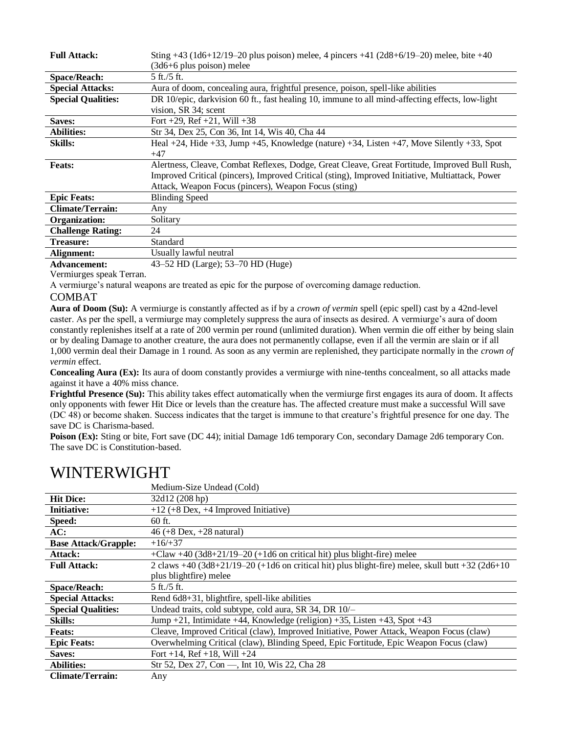| <b>Full Attack:</b>       | Sting +43 (1d6+12/19–20 plus poison) melee, 4 pincers +41 (2d8+6/19–20) melee, bite +40                     |
|---------------------------|-------------------------------------------------------------------------------------------------------------|
|                           | $(3d6+6)$ plus poison) melee                                                                                |
| <b>Space/Reach:</b>       | $5 \text{ ft}$ ./5 ft.                                                                                      |
| <b>Special Attacks:</b>   | Aura of doom, concealing aura, frightful presence, poison, spell-like abilities                             |
| <b>Special Qualities:</b> | DR 10/epic, darkvision 60 ft., fast healing 10, immune to all mind-affecting effects, low-light             |
|                           | vision, SR 34; scent                                                                                        |
| Saves:                    | Fort +29, Ref +21, Will +38                                                                                 |
| <b>Abilities:</b>         | Str 34, Dex 25, Con 36, Int 14, Wis 40, Cha 44                                                              |
| <b>Skills:</b>            | Heal $+24$ , Hide $+33$ , Jump $+45$ , Knowledge (nature) $+34$ , Listen $+47$ , Move Silently $+33$ , Spot |
|                           | $+47$                                                                                                       |
| <b>Feats:</b>             | Alertness, Cleave, Combat Reflexes, Dodge, Great Cleave, Great Fortitude, Improved Bull Rush,               |
|                           | Improved Critical (pincers), Improved Critical (sting), Improved Initiative, Multiattack, Power             |
|                           | Attack, Weapon Focus (pincers), Weapon Focus (sting)                                                        |
| <b>Epic Feats:</b>        | <b>Blinding Speed</b>                                                                                       |
| <b>Climate/Terrain:</b>   | Any                                                                                                         |
| Organization:             | Solitary                                                                                                    |
| <b>Challenge Rating:</b>  | 24                                                                                                          |
| <b>Treasure:</b>          | Standard                                                                                                    |
| Alignment:                | Usually lawful neutral                                                                                      |
| <b>Advancement:</b>       | 43–52 HD (Large); 53–70 HD (Huge)                                                                           |

Vermiurges speak Terran.

A vermiurge's natural weapons are treated as epic for the purpose of overcoming damage reduction.

### COMBAT

**Aura of Doom (Su):** A vermiurge is constantly affected as if by a *crown of vermin* spell (epic spell) cast by a 42nd-level caster. As per the spell, a vermiurge may completely suppress the aura of insects as desired. A vermiurge's aura of doom constantly replenishes itself at a rate of 200 vermin per round (unlimited duration). When vermin die off either by being slain or by dealing Damage to another creature, the aura does not permanently collapse, even if all the vermin are slain or if all 1,000 vermin deal their Damage in 1 round. As soon as any vermin are replenished, they participate normally in the *crown of vermin* effect.

**Concealing Aura (Ex):** Its aura of doom constantly provides a vermiurge with nine-tenths concealment, so all attacks made against it have a 40% miss chance.

**Frightful Presence (Su):** This ability takes effect automatically when the vermiurge first engages its aura of doom. It affects only opponents with fewer Hit Dice or levels than the creature has. The affected creature must make a successful Will save (DC 48) or become shaken. Success indicates that the target is immune to that creature's frightful presence for one day. The save DC is Charisma-based.

**Poison (Ex):** Sting or bite, Fort save (DC 44); initial Damage 1d6 temporary Con, secondary Damage 2d6 temporary Con. The save DC is Constitution-based.

|                             | Medium-Size Undead (Cold)                                                                        |
|-----------------------------|--------------------------------------------------------------------------------------------------|
| <b>Hit Dice:</b>            | 32d12 (208 hp)                                                                                   |
| <b>Initiative:</b>          | $+12$ (+8 Dex, +4 Improved Initiative)                                                           |
| Speed:                      | $60$ ft.                                                                                         |
| AC:                         | 46 (+8 Dex, $+28$ natural)                                                                       |
| <b>Base Attack/Grapple:</b> | $+16/+37$                                                                                        |
| Attack:                     | $+$ Claw $+40$ (3d8+21/19–20 (+1d6 on critical hit) plus blight-fire) melee                      |
| <b>Full Attack:</b>         | 2 claws +40 (3d8+21/19-20 (+1d6 on critical hit) plus blight-fire) melee, skull butt +32 (2d6+10 |
|                             | plus blightfire) melee                                                                           |
| <b>Space/Reach:</b>         | 5 ft./5 ft.                                                                                      |
| <b>Special Attacks:</b>     | Rend 6d8+31, blightfire, spell-like abilities                                                    |
| <b>Special Qualities:</b>   | Undead traits, cold subtype, cold aura, SR 34, DR 10/-                                           |
| <b>Skills:</b>              | Jump +21, Intimidate +44, Knowledge (religion) +35, Listen +43, Spot +43                         |
| <b>Feats:</b>               | Cleave, Improved Critical (claw), Improved Initiative, Power Attack, Weapon Focus (claw)         |
| <b>Epic Feats:</b>          | Overwhelming Critical (claw), Blinding Speed, Epic Fortitude, Epic Weapon Focus (claw)           |
| Saves:                      | Fort +14, Ref +18, Will +24                                                                      |
| <b>Abilities:</b>           | Str 52, Dex 27, Con -, Int 10, Wis 22, Cha 28                                                    |
| <b>Climate/Terrain:</b>     | Any                                                                                              |

### WINTERWIGHT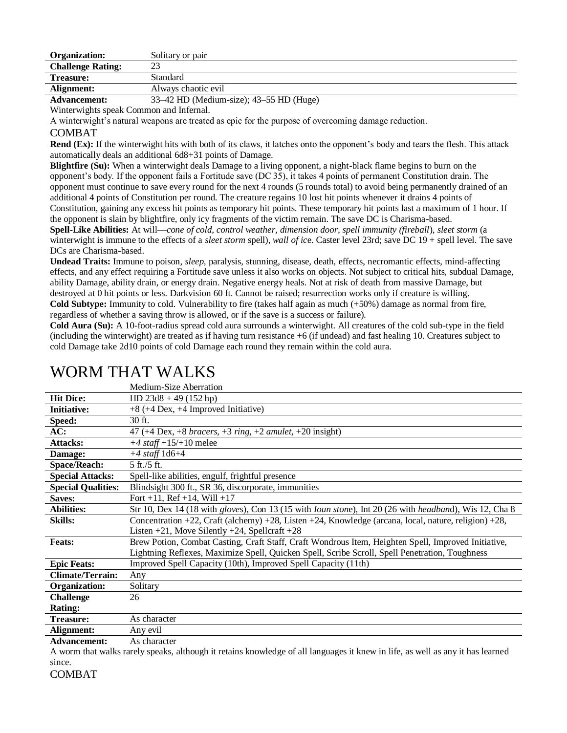| Organization:            | Solitary or pair    |
|--------------------------|---------------------|
| <b>Challenge Rating:</b> | ΩΩ<br>ل ک           |
| <b>Treasure:</b>         | Standard            |
| Alignment:               | Always chaotic evil |
|                          |                     |

**Advancement:** 33–42 HD (Medium-size); 43–55 HD (Huge)

Winterwights speak Common and Infernal.

A winterwight's natural weapons are treated as epic for the purpose of overcoming damage reduction.

### COMBAT

**Rend (Ex):** If the winterwight hits with both of its claws, it latches onto the opponent's body and tears the flesh. This attack automatically deals an additional 6d8+31 points of Damage.

**Blightfire (Su):** When a winterwight deals Damage to a living opponent, a night-black flame begins to burn on the opponent's body. If the opponent fails a Fortitude save (DC 35), it takes 4 points of permanent Constitution drain. The opponent must continue to save every round for the next 4 rounds (5 rounds total) to avoid being permanently drained of an additional 4 points of Constitution per round. The creature regains 10 lost hit points whenever it drains 4 points of Constitution, gaining any excess hit points as temporary hit points. These temporary hit points last a maximum of 1 hour. If the opponent is slain by blightfire, only icy fragments of the victim remain. The save DC is Charisma-based. **Spell-Like Abilities:** At will—*cone of cold, control weather, dimension door, spell immunity (fireball*), *sleet storm* (a

winterwight is immune to the effects of a *sleet storm* spell), *wall of ic*e. Caster level 23rd; save DC 19 + spell level. The save DCs are Charisma-based.

**Undead Traits:** Immune to poison, *sleep,* paralysis, stunning, disease, death, effects, necromantic effects, mind-affecting effects, and any effect requiring a Fortitude save unless it also works on objects. Not subject to critical hits, subdual Damage, ability Damage, ability drain, or energy drain. Negative energy heals. Not at risk of death from massive Damage, but destroyed at 0 hit points or less. Darkvision 60 ft. Cannot be raised; resurrection works only if creature is willing. **Cold Subtype:** Immunity to cold. Vulnerability to fire (takes half again as much (+50%) damage as normal from fire, regardless of whether a saving throw is allowed, or if the save is a success or failure).

**Cold Aura (Su):** A 10-foot-radius spread cold aura surrounds a winterwight. All creatures of the cold sub-type in the field (including the winterwight) are treated as if having turn resistance +6 (if undead) and fast healing 10. Creatures subject to cold Damage take 2d10 points of cold Damage each round they remain within the cold aura.

|                           | Medium-Size Aberration                                                                                                 |
|---------------------------|------------------------------------------------------------------------------------------------------------------------|
| <b>Hit Dice:</b>          | HD $23d8 + 49$ (152 hp)                                                                                                |
| <b>Initiative:</b>        | $+8$ (+4 Dex, +4 Improved Initiative)                                                                                  |
| Speed:                    | 30 ft.                                                                                                                 |
| AC:                       | 47 (+4 Dex, +8 bracers, +3 ring, +2 amulet, +20 insight)                                                               |
| <b>Attacks:</b>           | $+4$ staff $+15/+10$ melee                                                                                             |
| Damage:                   | $+4$ staff 1d6+4                                                                                                       |
| <b>Space/Reach:</b>       | 5 ft./5 ft.                                                                                                            |
| <b>Special Attacks:</b>   | Spell-like abilities, engulf, frightful presence                                                                       |
| <b>Special Qualities:</b> | Blindsight 300 ft., SR 36, discorporate, immunities                                                                    |
| Saves:                    | Fort +11, Ref +14, Will +17                                                                                            |
| <b>Abilities:</b>         | Str 10, Dex 14 (18 with gloves), Con 13 (15 with <i>Ioun stone</i> ), Int 20 (26 with <i>headband</i> ), Wis 12, Cha 8 |
| <b>Skills:</b>            | Concentration +22, Craft (alchemy) +28, Listen +24, Knowledge (arcana, local, nature, religion) +28,                   |
|                           | Listen $+21$ , Move Silently $+24$ , Spellcraft $+28$                                                                  |
| <b>Feats:</b>             | Brew Potion, Combat Casting, Craft Staff, Craft Wondrous Item, Heighten Spell, Improved Initiative,                    |
|                           | Lightning Reflexes, Maximize Spell, Quicken Spell, Scribe Scroll, Spell Penetration, Toughness                         |
| <b>Epic Feats:</b>        | Improved Spell Capacity (10th), Improved Spell Capacity (11th)                                                         |
| <b>Climate/Terrain:</b>   | Any                                                                                                                    |
| Organization:             | Solitary                                                                                                               |
| <b>Challenge</b>          | 26                                                                                                                     |
| <b>Rating:</b>            |                                                                                                                        |
| <b>Treasure:</b>          | As character                                                                                                           |
| Alignment:                | Any evil                                                                                                               |
| Advancement:              | A a charactor                                                                                                          |

# WORM THAT WALKS

As character

A worm that walks rarely speaks, although it retains knowledge of all languages it knew in life, as well as any it has learned since.

COMBAT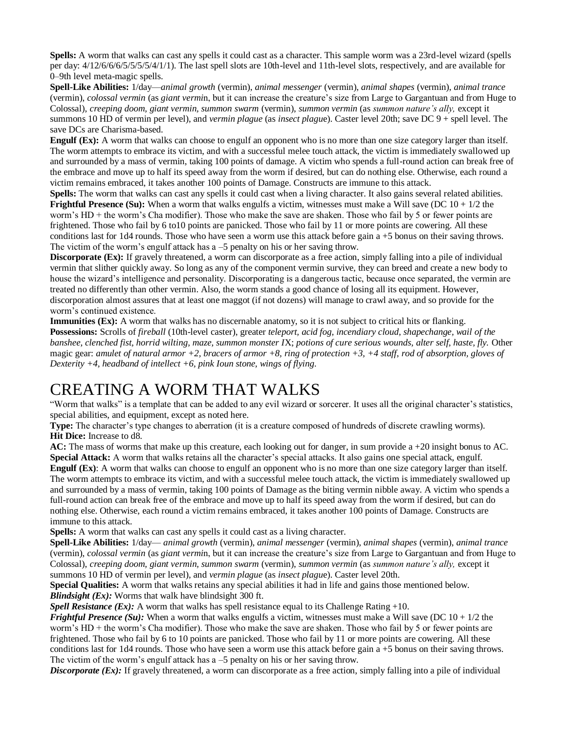**Spells:** A worm that walks can cast any spells it could cast as a character. This sample worm was a 23rd-level wizard (spells per day: 4/12/6/6/6/5/5/5/5/4/1/1). The last spell slots are 10th-level and 11th-level slots, respectively, and are available for 0–9th level meta-magic spells.

**Spell-Like Abilities:** 1/day—*animal growth* (vermin), *animal messenger* (vermin), *animal shapes* (vermin), *animal trance*  (vermin), *colossal vermin* (as *giant vermi*n, but it can increase the creature's size from Large to Gargantuan and from Huge to Colossal), *creeping doom, giant vermin, summon swarm* (vermin), *summon vermin* (as *summon nature's ally,* except it summons 10 HD of vermin per level), and *vermin plague* (as *insect plagu*e). Caster level 20th; save DC 9 + spell level. The save DCs are Charisma-based.

**Engulf (Ex):** A worm that walks can choose to engulf an opponent who is no more than one size category larger than itself. The worm attempts to embrace its victim, and with a successful melee touch attack, the victim is immediately swallowed up and surrounded by a mass of vermin, taking 100 points of damage. A victim who spends a full-round action can break free of the embrace and move up to half its speed away from the worm if desired, but can do nothing else. Otherwise, each round a victim remains embraced, it takes another 100 points of Damage. Constructs are immune to this attack.

**Spells:** The worm that walks can cast any spells it could cast when a living character. It also gains several related abilities. **Frightful Presence (Su):** When a worm that walks engulfs a victim, witnesses must make a Will save (DC 10 + 1/2 the worm's HD + the worm's Cha modifier). Those who make the save are shaken. Those who fail by 5 or fewer points are frightened. Those who fail by 6 to10 points are panicked. Those who fail by 11 or more points are cowering. All these conditions last for  $1d4$  rounds. Those who have seen a worm use this attack before gain a  $+5$  bonus on their saving throws. The victim of the worm's engulf attack has a  $-5$  penalty on his or her saving throw.

**Discorporate (Ex):** If gravely threatened, a worm can discorporate as a free action, simply falling into a pile of individual vermin that slither quickly away. So long as any of the component vermin survive, they can breed and create a new body to house the wizard's intelligence and personality. Discorporating is a dangerous tactic, because once separated, the vermin are treated no differently than other vermin. Also, the worm stands a good chance of losing all its equipment. However, discorporation almost assures that at least one maggot (if not dozens) will manage to crawl away, and so provide for the worm's continued existence.

**Immunities (Ex):** A worm that walks has no discernable anatomy, so it is not subject to critical hits or flanking. **Possessions:** Scrolls of *fireball* (10th-level caster), greater *teleport, acid fog, incendiary cloud, shapechange, wail of the banshee, clenched fist, horrid wilting, maze, summon monster I*X; *potions of cure serious wounds, alter self, haste, fly.* Other magic gear: *amulet of natural armor +2, bracers of armor +8, ring of protection +3, +4 staff*, *rod of absorption, gloves of Dexterity +4, headband of intellect +6, pink Ioun stone, wings of flying.*

# CREATING A WORM THAT WALKS

"Worm that walks" is a template that can be added to any evil wizard or sorcerer. It uses all the original character's statistics, special abilities, and equipment, except as noted here.

**Type:** The character's type changes to aberration (it is a creature composed of hundreds of discrete crawling worms). **Hit Dice:** Increase to d8.

**AC:** The mass of worms that make up this creature, each looking out for danger, in sum provide a +20 insight bonus to AC. **Special Attack:** A worm that walks retains all the character's special attacks. It also gains one special attack, engulf. **Engulf (Ex)**: A worm that walks can choose to engulf an opponent who is no more than one size category larger than itself. The worm attempts to embrace its victim, and with a successful melee touch attack, the victim is immediately swallowed up and surrounded by a mass of vermin, taking 100 points of Damage as the biting vermin nibble away. A victim who spends a full-round action can break free of the embrace and move up to half its speed away from the worm if desired, but can do

nothing else. Otherwise, each round a victim remains embraced, it takes another 100 points of Damage. Constructs are immune to this attack.

**Spells:** A worm that walks can cast any spells it could cast as a living character.

**Spell-Like Abilities:** 1/day— *animal growth* (vermin), *animal messenger* (vermin), *animal shapes* (vermin), *animal trance*  (vermin), *colossal vermin* (as *giant vermi*n, but it can increase the creature's size from Large to Gargantuan and from Huge to Colossal), *creeping doom, giant vermin, summon swarm* (vermin), *summon vermin* (as *summon nature's ally,* except it summons 10 HD of vermin per level), and *vermin plague* (as *insect plagu*e). Caster level 20th.

**Special Qualities:** A worm that walks retains any special abilities it had in life and gains those mentioned below. *Blindsight (Ex):* Worms that walk have blindsight 300 ft.

*Spell Resistance (Ex):* A worm that walks has spell resistance equal to its Challenge Rating +10.

*Frightful Presence (Su):* When a worm that walks engulfs a victim, witnesses must make a Will save (DC  $10 + 1/2$  the worm's HD + the worm's Cha modifier). Those who make the save are shaken. Those who fail by 5 or fewer points are frightened. Those who fail by 6 to 10 points are panicked. Those who fail by 11 or more points are cowering. All these conditions last for  $1d4$  rounds. Those who have seen a worm use this attack before gain a  $+5$  bonus on their saving throws. The victim of the worm's engulf attack has a -5 penalty on his or her saving throw.

*Discorporate (Ex):* If gravely threatened, a worm can discorporate as a free action, simply falling into a pile of individual